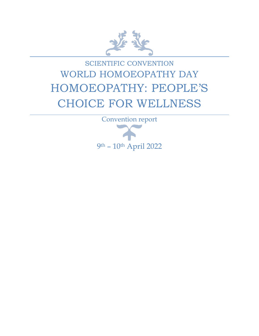

# SCIENTIFIC CONVENTION WORLD HOMOEOPATHY DAY HOMOEOPATHY: PEOPLE'S CHOICE FOR WELLNESS

Convention report 9 th – 10th April 2022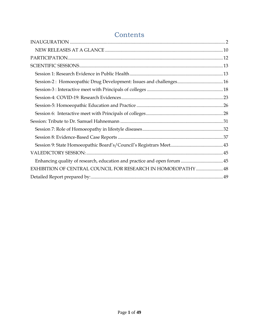| EXHIBITION OF CENTRAL COUNCIL FOR RESEARCH IN HOMOEOPATHY  48 |  |
|---------------------------------------------------------------|--|
|                                                               |  |

# **Contents**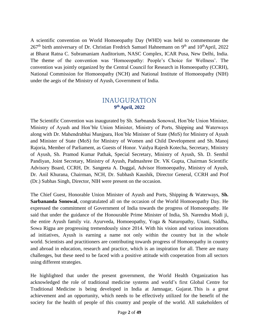A scientific convention on World Homoeopathy Day (WHD) was held to commemorate the 267<sup>th</sup> birth anniversary of Dr. Christian Fredrich Samuel Hahnemann on 9<sup>th</sup> and 10<sup>th</sup>April, 2022 at Bharat Ratna C. Subramaniam Auditorium, NASC Complex, ICAR Pusa, New Delhi, India. The theme of the convention was 'Homoeopathy: People's Choice for Wellness'. The convention was jointly organized by the Central Council for Research in Homoeopathy (CCRH), National Commission for Homoeopathy (NCH) and National Institute of Homoeopathy (NIH) under the aegis of the Ministry of Ayush, Government of India.

# INAUGURATION **9 th April, 2022**

<span id="page-2-0"></span>The Scientific Convention was inaugurated by Sh. Sarbnanda Sonowal, Hon'ble Union Minister, Ministry of Ayush and Hon'ble Union Minister, Ministry of Ports, Shipping and Waterways along with Dr. Mahendrabhai Munjpara, Hon'ble Minister of State (MoS) for Ministry of Ayush and Minister of State (MoS) for Ministry of Women and Child Development and Sh. Manoj Rajoria, Member of Parliament, as Guests of Honor. Vaidya Rajesh Kotecha, Secretary, Ministry of Ayush, Sh. Pramod Kumar Pathak, Special Secretary, Ministry of Ayush, Sh. D. Senthil Pandiyan, Joint Secretary, Ministry of Ayush, Padmashree Dr. VK Gupta, Chairman Scientific Advisory Board, CCRH, Dr. Sangeeta A. Duggal, Advisor Homoeopathy, Ministry of Ayush, Dr. Anil Khurana, Chairman, NCH, Dr. Subhash Kaushik, Director General, CCRH and Prof (Dr.) Subhas Singh, Director, NIH were present on the occasion.

The Chief Guest, Honorable Union Minister of Ayush and Ports, Shipping & Waterways, **Sh. Sarbananda Sonowal**, congratulated all on the occasion of the World Homoeopathy Day. He expressed the commitment of Government of India towards the progress of Homoeopathy. He said that under the guidance of the Honourable Prime Minister of India, Sh. Narendra Modi ji, the entire Ayush family viz. Ayurveda, Homoeopathy, Yoga & Naturopathy, Unani, Siddha, Sowa Rigpa are progressing tremendously since 2014. With his vision and various innovations ad initiatives, Ayush is earning a name not only within the country but in the whole world. Scientists and practitioners are contributing towards progress of Homoeopathy in country and abroad in education, research and practice, which is an inspiration for all. There are many challenges, but these need to be faced with a positive attitude with cooperation from all sectors using different strategies.

He highlighted that under the present government, the World Health Organization has acknowledged the role of traditional medicine systems and world's first Global Centre for Traditional Medicine is being developed in India at Jamnagar, Gujarat. This is a great achievement and an opportunity, which needs to be effectively utilized for the benefit of the society for the health of people of this country and people of the world. All stakeholders of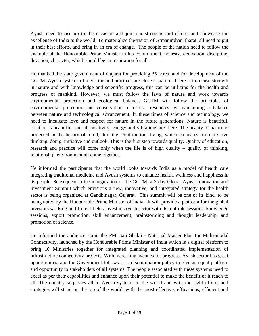Ayush need to rise up to the occasion and join our strengths and efforts and showcase the excellence of India to the world. To materialize the vision of Atmanirbhar Bharat, all need to put in their best efforts, and bring in an era of change. The people of the nation need to follow the example of the Honourable Prime Minister in his commitment, honesty, dedication, discipline, devotion, character, which should be an inspiration for all.

He thanked the state government of Gujarat for providing 35 acres land for development of the GCTM. Ayush systems of medicine and practices are close to nature. There is immense strength in nature and with knowledge and scientific progress, this can be utilizing for the health and progress of mankind. However, we must follow the laws of nature and work towards environmental protection and ecological balance. GCTM will follow the principles of environmental protection and conservation of natural resources by maintaining a balance between nature and technological advancement. In these times of science and technology, we need to inculcate love and respect for nature in the future generations. Nature is beautiful, creation is beautiful, and all positivity, energy and vibrations are there. The beauty of nature is projected in the beauty of mind, thinking, contribution, living, which emanates from positive thinking, doing, initiative and outlook. This is the first step towards quality. Quality of education, research and practice will come only when the life is of high quality – quality of thinking, relationship, environment all come together.

He informed the participants that the world looks towards India as a model of health care integrating traditional medicine and Ayush systems to enhance health, wellness and happiness in its people. Subsequent to the inauguration of the GCTM, a 3-day Global Ayush Innovation and Investment Summit which envisions a new, innovative, and integrated strategy for the health sector is being organized at Gandhinagar, Gujarat. This summit will be one of its kind, to be inaugurated by the Honourable Prime Minister of India. It will provide a platform for the global investors working in different fields invest in Ayush sector with its multiple sessions, knowledge sessions, export promotion, skill enhancement, brainstorming and thought leadership, and promotion of science.

He informed the audience about the PM Gati Shakti - National Master Plan for Multi-modal Connectivity, launched by the Honourable Prime Minister of India which is a digital platform to bring 16 Ministries together for integrated planning and coordinated implementation of infrastructure connectivity projects. With increasing avenues for progress, Ayush sector has great opportunities, and the Government follows a no discrimination policy to give an equal platform and opportunity to stakeholders of all systems. The people associated with these systems need to excel as per their capabilities and enhance upon their potential to make the benefit of it reach to all. The country surpasses all in Ayush systems in the world and with the right efforts and strategies will stand on the top of the world, with the most effective, efficacious, efficient and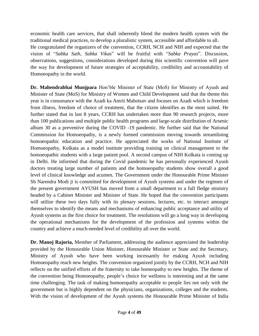economic health care services, that shall inherently blend the modern health system with the traditional medical practices, to develop a pluralistic system, accessible and affordable to all. He congratulated the organizers of the convention, CCRH, NCH and NIH and expected that the vision of "*Sabka Sath, Sabka Vikas*" will be fruitful with "*Sabka Prayas*". Discussion, observations, suggestions, considerations developed during this scientific convention will pave the way for development of future strategies of acceptability, credibility and accountability of Homoeopathy in the world.

**Dr. Mahendrabhai Munjpara** Hon'ble Minister of State (MoS) for Ministry of Ayush and Minister of State (MoS) for Ministry of Women and Child Development said that the theme this year is in consonance with the Azadi ka Amrit Mahotsav and focuses on Azadi which is freedom from illness, freedom of choice of treatment, that the citizen identifies as the most suited. He further stated that in last 8 years, CCRH has undertaken more than 90 research projects, more than 100 publications and multiple public health programs and large-scale distribution of Arsenic album 30 as a preventive during the COVID -19 pandemic. He further said that the National Commission for Homoeopathy, is a newly formed commission moving towards streamlining homoeopathic education and practice. He appreciated the works of National Institute of Homoeopathy, Kolkata as a model institute providing training on clinical management to the homoeopathic students with a large patient pool. A second campus of NIH Kolkata is coming up in Delhi. He informed that during the Covid pandemic he has personally experienced Ayush doctors treating large number of patients and the homoeopathy students show overall a good level of clinical knowledge and acumen. The Government under the Honourable Prime Minister Sh Narendra Modi ji is committed for development of Ayush systems and under the regimen of the present government AYUSH has moved from a small department to a full fledge ministry headed by a Cabinet Minister and Minister of State. He hoped that the convention participants will utilize these two days fully with its plenary sessions, lectures, etc. to interact amongst themselves to identify the means and mechanisms of enhancing public acceptance and utility of Ayush systems as the first choice for treatment. The resolutions will go a long way in developing the operational mechanisms for the development of the profession and systems within the country and achieve a much-needed level of credibility all over the world.

**Dr. Manoj Rajoria,** Member of Parliament, addressing the audience appreciated the leadership provided by the Honourable Union Minister, Honourable Minister or State and the Secretary, Ministry of Ayush who have been working incessantly for making Ayush including Homoeopathy reach new heights. The convention organized jointly by the CCRH, NCH and NIH reflects on the unified efforts of the fraternity to take homeopathy to new heights. The theme of the convention being Homoeopathy, people's choice for wellness is interesting and at the same time challenging. The task of making homoeopathy acceptable to people lies not only with the government but is highly dependent on the physicians, organizations, colleges and the students. With the vision of development of the Ayush systems the Honourable Prime Minister of India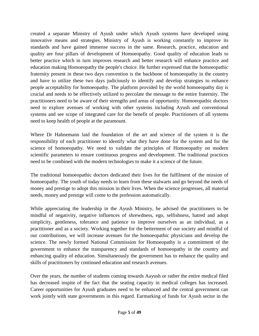created a separate Ministry of Ayush under which Ayush systems have developed using innovative means and strategies. Ministry of Ayush is working constantly to improve its standards and have gained immense success in the same. Research, practice, education and quality are four pillars of development of Homoeopathy. Good quality of education leads to better practice which in turn improves research and better research will enhance practice and education making Homoeopathy the people's choice. He further expressed that the homoeopathic fraternity present in these two days convention is the backbone of homoeopathy in the country and have to utilize these two days judiciously to identify and develop strategies to enhance people acceptability for homoeopathy. The platform provided by the world homoeopathy day is crucial and needs to be effectively utilized to percolate the message to the entire fraternity. The practitioners need to be aware of their strengths and areas of opportunity. Homoeopathic doctors need to explore avenues of working with other systems including Ayush and conventional systems and see scope of integrated care for the benefit of people. Practitioners of all systems need to keep health of people at the paramount.

Where Dr Hahnemann laid the foundation of the art and science of the system it is the responsibility of each practitioner to identify what they have done for the system and for the science of homoeopathy. We need to validate the principles of Homoeopathy on modern scientific parameters to ensure continuous progress and development. The traditional practices need to be combined with the modern technologies to make it a science of the future.

The traditional homoeopathic doctors dedicated their lives for the fulfilment of the mission of homoeopathy. The youth of today needs to learn from these stalwarts and go beyond the needs of money and prestige to adopt this mission in their lives. When the science progresses, all material needs, money and prestige will come to the profession automatically.

While appreciating the leadership in the Ayush Ministry, he advised the practitioners to be mindful of negativity, negative influences of shrewdness, ego, selfishness, hatred and adopt simplicity, gentleness, tolerance and patience to improve ourselves as an individual, as a practitioner and as a society. Working together for the betterment of our society and mindful of our contributions, we will increase avenues for the homoeopathic physicians and develop the science. The newly formed National Commission for Homoeopathy is a commitment of the government to enhance the transparency and standards of homoeopathy in the country and enhancing quality of education. Simultaneously the government has to enhance the quality and skills of practitioners by continued education and research avenues.

Over the years, the number of students coming towards Aayush or rather the entire medical filed has decreased inspite of the fact that the seating capacity in medical colleges has increased. Career opportunities for Ayush graduates need to be enhanced and the central government can work jointly with state governments in this regard. Earmarking of funds for Ayush sector in the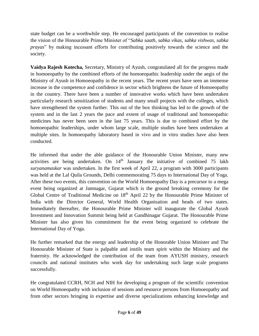state budget can be a worthwhile step. He encouraged participants of the convention to realise the vision of the Honourable Prime Minister of "*Sabka saath, sabka vikas, sabka vishwas, sabka prayas*" by making incessant efforts for contributing positively towards the science and the society.

**Vaidya Rajesh Kotecha,** Secretary, Ministry of Ayush, congratulated all for the progress made in homoeopathy by the combined efforts of the homoeopathic leadership under the aegis of the Ministry of Ayush in Homoeopathy in the recent years. The recent years have seen an immense increase in the competence and confidence in sector which brightens the future of Homoeopathy in the country. There have been a number of innovative works which have been undertaken particularly research sensitization of students and many small projects with the colleges, which have strengthened the system further. This out of the box thinking has led to the growth of the system and in the last 2 years the pace and extent of usage of traditional and homoeopathic medicines has never been seen in the last 75 years. This is due to combined effort by the homoeopathic leaderships, under whom large scale, multiple studies have been undertaken at multiple sites. In homoeopathy laboratory based in vivo and in vitro studies have also been conducted.

He informed that under the able guidance of the Honourable Union Minister, many new activities are being undertaken. On  $14<sup>th</sup>$  January the initiative of combined 75 lakh *suryanamaskar* was undertaken. In the first week of April 22, a program with 3000 participants was held at the Lal Quila Grounds, Delhi commemorating 75 days to International Day of Yoga. After these two events, this convention on the World Homoeopathy Day is a precursor to a mega event being organized at Jamnagar, Gujarat which is the ground breaking ceremony for the Global Centre of Traditional Medicine on 18<sup>th</sup> April 22 by the Honourable Prime Minister of India with the Director General, World Health Organisation and heads of two states. Immediately thereafter, the Honourable Prime Minister will inaugurate the Global Ayush Investment and Innovation Summit being held at Gandhinagar Gujarat. The Honourable Prime Minister has also given his commitment for the event being organized to celebrate the International Day of Yoga.

He further remarked that the energy and leadership of the Honorable Union Minister and The Honourable Minister of State is palpable and instils team spirit within the Ministry and the fraternity. He acknowledged the contribution of the team from AYUSH ministry, research councils and national institutes who work day for undertaking such large scale programs successfully.

He congratulated CCRH, NCH and NIH for developing a program of the scientific convention on World Homoeopathy with inclusion of sessions and resource persons from Homoeopathy and from other sectors bringing in expertise and diverse specializations enhancing knowledge and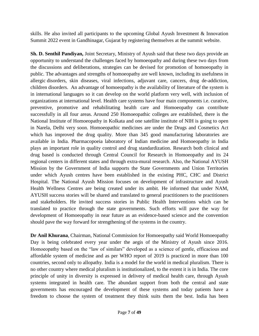skills. He also invited all participants to the upcoming Global Ayush Investment & Innovation Summit 2022 event in Gandhinagar, Gujarat by registering themselves at the summit website.

**Sh. D. Senthil Pandiyan,** Joint Secretary, Ministry of Ayush said that these two days provide an opportunity to understand the challenges faced by homoeopathy and during these two days from the discussions and deliberations, strategies can be devised for promotion of homoeopathy in public. The advantages and strengths of homoeopathy are well known, including its usefulness in allergic disorders, skin diseases, viral infections, adjuvant care, cancers, drug de-addiction, children disorders. An advantage of homoeopathy is the availability of literature of the system is in international languages so it can develop on the world platform very well, with inclusion of organizations at international level. Health care systems have four main components i.e. curative, preventive, promotive and rehabilitating health care and Homoeopathy can contribute successfully in all four areas. Around 250 Homoeopathic colleges are established, there is the National Institute of Homoeopathy in Kolkata and one satellite institute of NIH is going to open in Narela, Delhi very soon. Homoeopathic medicines are under the Drugs and Cosmetics Act which has improved the drug quality. More than 345 good manufacturing laboratories are available in India. Pharmacopoeia laboratory of Indian medicine and Homoeopathy in India plays an important role in quality control and drug standardization. Research both clinical and drug based is conducted through Central Council for Research in Homoeopathy and its 24 regional centers in different states and through extra-mural research. Also, the National AYUSH Mission by the Government of India supports the State Governments and Union Territories under which Ayush centres have been established in the existing PHC, CHC and District Hospital. The National Ayush Mission focuses on development of infrastructure and Ayush Health Wellness Centres are being created under its ambit. He informed that under NAM, AYUSH success stories will be shared and translated to general practitioners to the practitioners and stakeholders. He invited success stories in Public Health Interventions which can be translated to practice through the state governments. Such efforts will pave the way for development of Homoeopathy in near future as an evidence-based science and the convention should pave the way forward for strengthening of the systems in the country.

**Dr Anil Khurana**, Chairman, National Commission for Homoeopathy said World Homoeopathy Day is being celebrated every year under the aegis of the Ministry of Ayush since 2016. Homoeopathy based on the "law of similars" developed as a science of gentle, efficacious and affordable system of medicine and as per WHO report of 2019 is practiced in more than 100 countries, second only to allopathy. India is a model for the world in medical pluralism. There is no other country where medical pluralism is institutionalized, to the extent it is in India. The core principle of unity in diversity is expressed in delivery of medical health care, through Ayush systems integrated in health care. The abundant support from both the central and state governments has encouraged the development of these systems and today patients have a freedom to choose the system of treatment they think suits them the best. India has been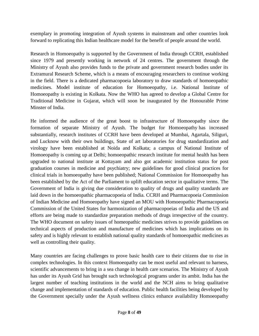exemplary in promoting integration of Ayush systems in mainstream and other countries look forward to replicating this Indian healthcare model for the benefit of people around the world.

Research in Homoeopathy is supported by the Government of India through CCRH, established since 1979 and presently working in network of 24 centres. The government through the Ministry of Ayush also provides funds to the private and government research bodies under its Extramural Research Scheme, which is a means of encouraging researchers to continue working in the field. There is a dedicated pharmacopoeia laboratory to draw standards of homoeopathic medicines. Model institute of education for Homoeopathy, i.e. National Institute of Homoeopathy is existing in Kolkata. Now the WHO has agreed to develop a Global Centre for Traditional Medicine in Gujarat, which will soon be inaugurated by the Honourable Prime Minster of India.

He informed the audience of the great boost to infrastructure of Homoeopathy since the formation of separate Ministry of Ayush. The budget for Homoeopathy has increased substantially, research institutes of CCRH have been developed at Mumbai, Agartala, Siliguri, and Lucknow with their own buildings, State of art laboratories for drug standardization and virology have been established at Noida and Kolkata; a campus of National Institute of Homoeopathy is coming up at Delhi; homoeopathic research institute for mental health has been upgraded to national institute at Kottayam and also got academic institution status for post graduation courses in medicine and psychiatry; new guidelines for good clinical practices for clinical trials in homoeopathy have been published; National Commission for Homoeopathy has been established by the Act of the Parliament to uplift education sector in qualitative terms. The Government of India is giving due consideration to quality of drugs and quality standards are laid down in the homoeopathic pharmacopoeia of India. CCRH and Pharmacopoeia Commission of Indian Medicine and Homoeopathy have signed an MOU with Homoeopathic Pharmacopoeia Commission of the United States for harmonization of pharmacopoeias of India and the US and efforts are being made to standardize preparation methods of drugs irrespective of the country. The WHO document on safety issues of homeopathic medicines strives to provide guidelines on technical aspects of production and manufacture of medicines which has implications on its safety and is highly relevant to establish national quality standards of homoeopathic medicines as well as controlling their quality.

Many countries are facing challenges to prove basic health care to their citizens due to rise in complex technologies. In this context Homoeopathy can be most useful and relevant to harness, scientific advancements to bring in a sea change in health care scenarios. The Ministry of Ayush has under its Ayush Grid has brought such technological programs under its ambit. India has the largest number of teaching institutions in the world and the NCH aims to bring qualitative change and implementation of standards of education. Public health facilities being developed by the Government specially under the Ayush wellness clinics enhance availability Homoeopathy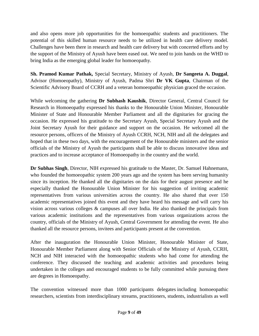and also opens more job opportunities for the homoeopathic students and practitioners. The potential of this skilled human resource needs to be utilized in health care delivery model. Challenges have been there in research and health care delivery but with concerted efforts and by the support of the Ministry of Ayush have been eased out. We need to join hands on the WHD to bring India as the emerging global leader for homoeopathy.

**Sh. Pramod Kumar Pathak,** Special Secretary, Ministry of Ayush, **Dr Sangeeta A. Duggal**, Advisor (Homoeopathy), Ministry of Ayush, Padma Shri **Dr VK Gupta**, Chairman of the Scientific Advisory Board of CCRH and a veteran homoeopathic physician graced the occasion.

While welcoming the gathering **Dr Subhash Kaushik**, Director General, Central Council for Research in Homoeopathy expressed his thanks to the Honourable Union Minister, Honourable Minister of State and Honourable Member Parliament and all the dignitaries for gracing the occasion. He expressed his gratitude to the Secretary Ayush, Special Secretary Ayush and the Joint Secretary Ayush for their guidance and support on the occasion. He welcomed all the resource persons, officers of the Ministry of Ayush CCRH, NCH, NIH and all the delegates and hoped that in these two days, with the encouragement of the Honourable ministers and the senior officials of the Ministry of Ayush the participants shall be able to discuss innovative ideas and practices and to increase acceptance of Homoeopathy in the country and the world.

**Dr Subhas Singh**, Director, NIH expressed his gratitude to the Master, Dr. Samuel Hahnemann, who founded the homoeopathic system 200 years ago and the system has been serving humanity since its inception. He thanked all the dignitaries on the dais for their august presence and he especially thanked the Honourable Union Minister for his suggestion of inviting academic representatives from various universities across the country. He also shared that over 150 academic representatives joined this event and they have heard his message and will carry his vision across various colleges & campuses all over India. He also thanked the principals from various academic institutions and the representatives from various organizations across the country, officials of the Ministry of Ayush, Central Government for attending the event. He also thanked all the resource persons, invitees and participants present at the convention.

After the inauguration the Honourable Union Minister, Honourable Minister of State, Honourable Member Parliament along with Senior Officials of the Ministry of Ayush, CCRH, NCH and NIH interacted with the homoeopathic students who had come for attending the conference. They discussed the teaching and academic activities and procedures being undertaken in the colleges and encouraged students to be fully committed while pursuing there are degrees in Homoeopathy.

The convention witnessed more than 1000 participants delegates including homoeopathic researchers, scientists from interdisciplinary streams, practitioners, students, industrialists as well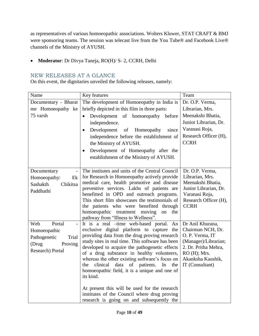as representatives of various homoeopathic associations. Wolters Kluwer, STAT CRAFT & BMJ were sponsoring teams. The session was telecast live from the You Tube® and Facebook Live® channels of the Ministry of AYUSH.

**Moderator**: Dr Divya Taneja, RO(H)/ S- 2, CCRH, Delhi

# <span id="page-10-0"></span>NEW RELEASES AT A GLANCE

On this event, the dignitaries unveiled the following releases, namely:

| Name                                    | Key features                                                                                      | Team                                         |
|-----------------------------------------|---------------------------------------------------------------------------------------------------|----------------------------------------------|
| Documentary - Bharat                    | The development of Homoeopathy in India is                                                        | Dr. O.P. Verma,                              |
| me Homoeopathy ke                       | briefly depicted in this film in three parts:                                                     | Librarian, Mrs.                              |
| 75 varsh                                | Development of homoeopathy before<br>$\bullet$                                                    | Meenakshi Bhatia,                            |
|                                         | independence.                                                                                     | Junior Librarian, Dr.                        |
|                                         | Development<br>since<br>of<br>Homeopathy<br>$\bullet$                                             | Varanasi Roja,                               |
|                                         | independence before the establishment of                                                          | Research Officer (H),                        |
|                                         | the Ministry of AYUSH.                                                                            | <b>CCRH</b>                                  |
|                                         | Development of Homeopathy after the<br>$\bullet$                                                  |                                              |
|                                         | establishment of the Ministry of AYUSH.                                                           |                                              |
|                                         |                                                                                                   |                                              |
| Documentary<br>$\overline{\phantom{a}}$ | The institutes and units of the Central Council                                                   | Dr. O.P. Verma,                              |
| Homoeopathy:<br>Ek                      | for Research in Homoeopathy actively provide                                                      | Librarian, Mrs.                              |
| Sashakth<br>Chikitsa                    | medical care, health promotive and disease                                                        | Meenakshi Bhatia,                            |
| Paddhathi                               | preventive services. Lakhs of patients are<br>benefitted in OPD and outreach programs.            | Junior Librarian, Dr.<br>Varanasi Roja,      |
|                                         | This short film showcases the testimonials of                                                     | Research Officer (H),                        |
|                                         | the patients who were benefited through                                                           | <b>CCRH</b>                                  |
|                                         | homoeopathic treatment moving<br>on<br>the                                                        |                                              |
|                                         | pathway from "Illness to Wellness".                                                               |                                              |
| Portal<br>Web                           | It is a real -time web-based portal. An                                                           | Dr Anil Khurana,                             |
| Homoeopathic                            | exclusive digital platform to capture the                                                         | Chairman NCH, Dr.                            |
| Pathogenetic<br>Trial                   | providing data from the drug proving research                                                     | O. P. Verma, IT                              |
| (Drug<br>Proving                        | study sites in real time. This software has been<br>developed to acquire the pathogenetic effects | (Manager)/Librarian;<br>2. Dr. Pritha Mehra, |
| Research) Portal                        | of a drug substance in healthy volunteers,                                                        | RO (H); Mrs.                                 |
|                                         | whereas the other existing software's focus on                                                    | Akanksha Kaushik,                            |
|                                         | data of patients. In<br>clinical<br>the<br>the                                                    | IT (Consultant)                              |
|                                         | homoeopathic field, it is a unique and one of                                                     |                                              |
|                                         | its kind.                                                                                         |                                              |
|                                         |                                                                                                   |                                              |
|                                         | At present this will be used for the research<br>institutes of the Council where drug proving     |                                              |
|                                         | research is going on and subsequently the                                                         |                                              |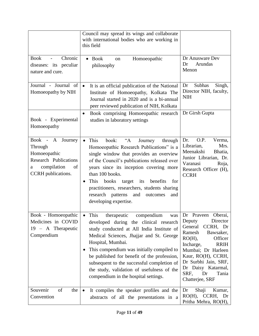|                                                                                                                                       | Council may spread its wings and collaborate<br>with international bodies who are working in<br>this field                                                                                                                                                                                                                                                                                                                               |                                                                                                                                                                                                                                                                                   |
|---------------------------------------------------------------------------------------------------------------------------------------|------------------------------------------------------------------------------------------------------------------------------------------------------------------------------------------------------------------------------------------------------------------------------------------------------------------------------------------------------------------------------------------------------------------------------------------|-----------------------------------------------------------------------------------------------------------------------------------------------------------------------------------------------------------------------------------------------------------------------------------|
| Chronic<br><b>Book</b><br>$\overline{\phantom{a}}$<br>diseases: its peculiar<br>nature and cure.                                      | <b>Book</b><br>Homoeopathic<br>on<br>philosophy                                                                                                                                                                                                                                                                                                                                                                                          | Dr Anusware Dev<br>Arundas<br>Dr<br>Menon                                                                                                                                                                                                                                         |
| Journal - Journal of<br>Homoeopathy by NIH                                                                                            | It is an official publication of the National<br>$\bullet$<br>Institute of Homoeopathy, Kolkata The<br>Journal started in 2020 and is a bi-annual<br>peer reviewed publication of NIH, Kolkata                                                                                                                                                                                                                                           | Subhas<br>Dr<br>Singh,<br>Director NIH, faculty,<br><b>NIH</b>                                                                                                                                                                                                                    |
| Book - Experimental<br>Homoeopathy                                                                                                    | Book comprising Homoeopathic research<br>٠<br>studies in laboratory settings                                                                                                                                                                                                                                                                                                                                                             | Dr Girsh Gupta                                                                                                                                                                                                                                                                    |
| Book -<br>$\mathbf{A}$<br>Journey<br>Through<br>Homoeopathic<br>Research Publications<br>compilation<br>of<br>a<br>CCRH publications. | This<br>$A^{\cdot\cdot}$<br>book:<br>Journey<br>through<br>Homoeopathic Research Publications" is a<br>single window that provides an overview<br>of the Council's publications released over<br>years since its inception covering more<br>than 100 books.<br>This<br>books<br>target<br>its<br>benefits<br>for<br>practitioners, researchers, students sharing<br>research patterns<br>and<br>outcomes<br>and<br>developing expertise. | O.P.<br>Verma,<br>Dr.<br>Librarian,<br>Mrs.<br>Meenakshi<br>Bhatia,<br>Junior Librarian, Dr.<br>Varanasi<br>Roja,<br>Research Officer (H),<br><b>CCRH</b>                                                                                                                         |
| Book - Homoeopathic<br>Medicines in COVID<br>19 - A Therapeutic<br>Compendium                                                         | This<br>compendium<br>therapeutic<br>was<br>developed during the clinical research<br>study conducted at All India Institute of<br>Medical Sciences, Jhajjar and St. George<br>Hospital, Mumbai.<br>This compendium was initially compiled to<br>be published for benefit of the profession,<br>subsequent to the successful completion of<br>the study, validation of usefulness of the<br>compendium in the hospital settings.         | Dr Praveen<br>Oberai,<br>Deputy<br>Director<br>General<br>CCRH, Dr<br>Bawsaker,<br>Ramesh<br>$RO(H)$ ,<br>Officer<br>Incharge,<br><b>RRIH</b><br>Mumbai; Dr Harleen<br>Kaur, RO(H), CCRH,<br>Dr Surbhi Jain, SRF,<br>Dr Daisy Katarmal,<br>Tania<br>SRF,<br>Dr<br>Chatterjee, SRF |
| Souvenir<br>of<br>the<br>Convention                                                                                                   | It compiles the speaker profiles and the<br>abstracts of all the presentations in a                                                                                                                                                                                                                                                                                                                                                      | Shaji<br>Dr<br>Kumar,<br>$RO(H)$ , CCRH,<br>Dr<br>Pritha Mehra, RO(H),                                                                                                                                                                                                            |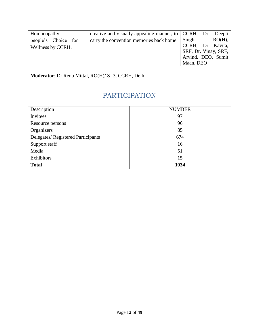| Homoeopathy:             | creative and visually appealing manner, to CCRH, Dr. Deepti |                      |           |
|--------------------------|-------------------------------------------------------------|----------------------|-----------|
| people's Choice for      | carry the convention memories back home.                    | Singh,               | $RO(H)$ , |
| <b>Wellness by CCRH.</b> |                                                             | CCRH, Dr Kavita,     |           |
|                          |                                                             | SRF, Dr. Vinay, SRF, |           |
|                          |                                                             | Arvind, DEO, Sumit   |           |
|                          |                                                             | Maan, DEO            |           |

<span id="page-12-0"></span>**Moderator**: Dr Renu Mittal, RO(H)/ S- 3, CCRH, Delhi

# PARTICIPATION

| Description                       | <b>NUMBER</b> |
|-----------------------------------|---------------|
| Invitees                          | 97            |
| Resource persons                  | 96            |
| Organizers                        | 85            |
| Delegates/Registered Participants | 674           |
| Support staff                     | 16            |
| Media                             | 51            |
| Exhibitors                        | 15            |
| <b>Total</b>                      | 1034          |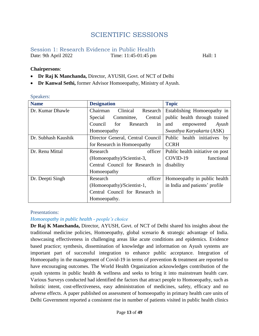# SCIENTIFIC SESSIONS

# <span id="page-13-1"></span><span id="page-13-0"></span>Session 1: Research Evidence in Public Health Date: 9th April 2022 Time: 11:45-01:45 pm Hall: 1

#### **Chairpersons**:

- **Dr Raj K Manchanda,** Director, AYUSH, Govt. of NCT of Delhi
- **Dr Kanwal Sethi,** former Advisor Homoeopathy, Ministry of Ayush.

#### Speakers:

| <b>Name</b>         | <b>Designation</b>                | <b>Topic</b>                     |
|---------------------|-----------------------------------|----------------------------------|
| Dr. Kumar Dhawle    | Clinical<br>Chairman<br>Research  | Establishing Homoeopathy in      |
|                     | Committee,<br>Central<br>Special  | public health through trained    |
|                     | Council<br>Research<br>for<br>in  | Ayush<br>empowered<br>and        |
|                     | Homoeopathy                       | Swasthya Karyakarta (ASK)        |
| Dr. Subhash Kaushik | Director General, Central Council | Public health initiatives by     |
|                     | for Research in Homoeopathy       | <b>CCRH</b>                      |
| Dr. Renu Mittal     | officer<br>Research               | Public health initiative on post |
|                     | (Homoeopathy)/Scientist-3,        | COVID-19<br>functional           |
|                     | Central Council for Research in   | disability                       |
|                     | Homoeopathy                       |                                  |
| Dr. Deepti Singh    | officer<br>Research               | Homoeopathy in public health     |
|                     | (Homoeopathy)/Scientist-1,        | in India and patients' profile   |
|                     | Central Council for Research in   |                                  |
|                     | Homoeopathy.                      |                                  |

#### Presentations:

#### *Homoeopathy in public health - people's choice*

**Dr Raj K Manchanda,** Director, AYUSH, Govt. of NCT of Delhi shared his insights about the traditional medicine policies, Homoeopathy, global scenario & strategic advantage of India. showcasing effectiveness in challenging areas like acute conditions and epidemics. Evidence based practice; synthesis, dissemination of knowledge and information on Ayush systems are important part of successful integration to enhance public acceptance. Integration of Homoeopathy in the management of Covid-19 in terms of prevention & treatment are reported to have encouraging outcomes. The World Health Organization acknowledges contribution of the ayush systems in public health & wellness and seeks to bring it into mainstream health care. Various Surveys conducted had identified the factors that attract people to Homoeopathy, such as holistic intent, cost-effectiveness, easy administration of medicines, safety, efficacy and no adverse effects. A paper published on assessment of homoeopathy in primary health care units of Delhi Government reported a consistent rise in number of patients visited in public health clinics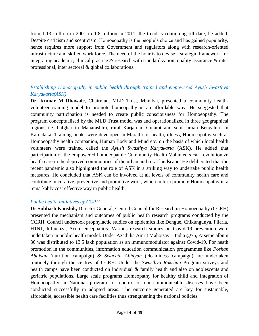from 1.13 million in 2001 to 1.8 million in 2011, the trend is continuing till date, he added. Despite criticism and scepticism, Homoeopathy is the people's choice and has gained popularity, hence requires more support from Government and regulators along with research-oriented infrastructure and skilled work force. The need of the hour is to devise a strategic framework for integrating academic, clinical practice & research with standardization, quality assurance & inter professional, inter sectoral & global collaborations.

# *Establishing Homoeopathy in public health through trained and empowered Ayush Swasthya Karyakarta(ASK)*

**Dr. Kumar M Dhawale***,* Chairman, MLD Trust, Mumbai, presented a community healthvolunteer training model to promote homeopathy in an affordable way. He suggested that community participation is needed to create public consciousness for Homoeopathy. The program conceptualised by the MLD Trust model was and operationalized in three geographical regions i.e. Palghar in Maharashtra, rural Karjan in Gujarat and semi urban Bengaluru in Karnataka. Training books were developed in Marathi on health, illness, Homoeopathy such as Homoeopathy health companion, Human Body and Mind etc. on the basis of which local health volunteers were trained called the *Ayush Swasthya Karyakarta* (ASK). He added that participation of the empowered homoeopathic Community Health Volunteers can revolutionize health care in the deprived communities of the urban and rural landscape. He deliberated that the recent pandemic also highlighted the role of ASK in a striking way to undertake public health measures. He concluded that ASK can be involved at all levels of community health care and contribute in curative, preventive and promotive work, which in turn promote Homoeopathy in a remarkably cost effective way in public health.

#### *Public health initiatives by CCRH*

**Dr Subhash Kaushik,** Director General, Central Council for Research in Homoeopathy (CCRH) presented the mechanism and outcomes of public health research programs conducted by the CCRH. Council undertook prophylactic studies on epidemics like Dengue, Chikungunya, Filaria, H1N1, Influenza, Acute encephalitis. Various research studies on Covid-19 prevention were undertaken in public health model. Under Azadi ka Amrit Mahotsav – India @75, Arsenic album 30 was distributed to 13.5 lakh population as an immunomodulator against Covid-19. For heath promotion in the communities, information education communication programmes like *Poshan Abhiyan* (nutrition campaign) & *Swachta Abhiyan* (cleanliness campaign) are undertaken routinely through the centres of CCRH. Under the *Swasthya Rakshan* Program surveys and health camps have been conducted on individual & family health and also on adolescents and geriatric populations. Large scale programs Homeopathy for healthy child and Integration of Homoeopathy in National program for control of non-communicable diseases have been conducted successfully in adopted areas. The outcome generated are key for sustainable, affordable, accessible health care facilities thus strengthening the national policies.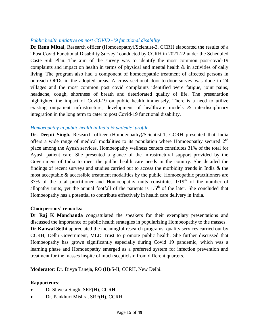#### *Public health initiative on post COVID -19 functional disability*

**Dr Renu Mittal,** Research officer (Homoeopathy)/Scientist-3, CCRH elaborated the results of a "Post Covid Functional Disability Survey" conducted by CCRH in 2021-22 under the Scheduled Caste Sub Plan. The aim of the survey was to identify the most common post-covid-19 complaints and impact on health in terms of physical and mental health  $\&$  in activities of daily living. The program also had a component of homoeopathic treatment of affected persons in outreach OPDs in the adopted areas. A cross sectional door-to-door survey was done in 24 villages and the most common post covid complaints identified were fatigue, joint pains, headache, cough, shortness of breath and deteriorated quality of life. The presentation highlighted the impact of Covid-19 on public health immensely. There is a need to utilize existing outpatient infrastructure, development of healthcare models & interdisciplinary integration in the long term to cater to post Covid-19 functional disability.

#### *Homoeopathy in public health in India & patients' profile*

**Dr. Deepti Singh,** Research officer (Homoeopathy)/Scientist-1, CCRH presented that India offers a wide range of medical modalities to its population where Homoeopathy secured 2nd place among the Ayush services. Homoeopathy wellness centers constitutes 31% of the total for Ayush patient care. She presented a glance of the infrastructural support provided by the Government of India to meet the public health care needs in the country. She detailed the findings of recent surveys and studies carried out to access the morbidity trends in India & the most acceptable & accessible treatment modalities by the public. Homoeopathic practitioners are 37% of the total practitioner and Homoeopathy units constitutes  $1/19<sup>th</sup>$  of the number of allopathy units, yet the annual footfall of the patients is  $1/5<sup>th</sup>$  of the later. She concluded that Homoeopathy has a potential to contribute effectively in health care delivery in India.

#### **Chairpersons' remarks:**

**Dr Raj K Manchanda** congratulated the speakers for their exemplary presentations and discussed the importance of public health strategies in popularizing Homoeopathy to the masses. **Dr Kanwal Sethi** appreciated the meaningful research programs; quality services carried out by CCRH, Delhi Government, MLD Trust to promote public health. She further discussed that Homoeopathy has grown significantly especially during Covid 19 pandemic, which was a learning phase and Homoeopathy emerged as a preferred system for infection prevention and treatment for the masses inspite of much scepticism from different quarters.

**Moderator**: Dr. Divya Taneja, RO (H)/S-II, CCRH, New Delhi.

#### **Rapporteurs**:

- Dr Shweta Singh, SRF(H), CCRH
- Dr. Pankhuri Mishra, SRF(H), CCRH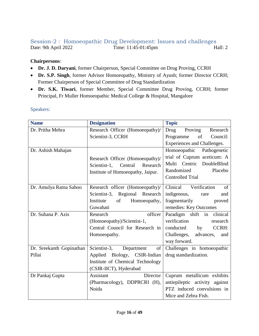# <span id="page-16-0"></span>Session-2 : Homoeopathic Drug Development: Issues and challenges Date: 9th April 2022 Time: 11:45-01:45pm Hall: 2

# **Chairpersons**:

- **Dr. J. D. Daryani**, former Chairperson, Special Committee on Drug Proving, CCRH
- **Dr. S.P. Singh**, former Advisor Homoeopathy, Ministry of Ayush; former Director CCRH; Former Chairperson of Special Committee of Drug Standardization
- **Dr. S.K. Tiwari**, former Member, Special Committee Drug Proving, CCRH; former Principal, Fr Muller Homoeopathic Medical College & Hospital, Mangalore

| <b>Name</b>              | <b>Designation</b>                  | <b>Topic</b>                    |
|--------------------------|-------------------------------------|---------------------------------|
| Dr. Pritha Mehra         | Research Officer (Homoeopathy)/     | Proving<br>Drug<br>Research     |
|                          | Scientist-3, CCRH                   | of<br>Council:<br>Programme     |
|                          |                                     | Experiences and Challenges.     |
| Dr. Ashish Mahajan       |                                     | Homoeopathic Pathogenetic       |
|                          | Research Officer (Homoeopathy)/     | trial of Cuprum aceticum: A     |
|                          | Scientist-1,<br>Central<br>Research | Multi Centric<br>DoubleBlind    |
|                          | Institute of Homoeopathy, Jaipur.   | Randomized<br>Placebo           |
|                          |                                     | <b>Controlled Trial</b>         |
| Dr. Amulya Ratna Sahoo   | Research officer (Homoeopathy)/     | Clinical<br>Verification<br>of  |
|                          | Scientist-3, Regional Research      | indigenous,<br>and<br>rare      |
|                          | Institute<br>of<br>Homoeopathy,     | fragmentarily<br>proved         |
|                          | Guwahati                            | remedies: Key Outcomes          |
| Dr. Suhana P. Azis       | officer<br>Research                 | Paradigm shift in clinical      |
|                          | (Homoeopathy)/Scientist-1,          | verification<br>research        |
|                          | Central Council for Research in     | <b>CCRH:</b><br>conducted<br>by |
|                          | Homoeopathy.                        | Challenges,<br>advances,<br>and |
|                          |                                     | way forward.                    |
| Dr. Sreekanth Gopinathan | Scientist-3,<br>of<br>Department    | Challenges in homoeopathic      |
| Pillai                   | Applied Biology, CSIR-Indian        | drug standardization.           |
|                          | Institute of Chemical Technology    |                                 |
|                          | (CSIR-IICT), Hyderabad              |                                 |
| Dr Pankaj Gupta          | Assistant<br>Director               | Cuprum metallicum exhibits      |
|                          | (Pharmacology), DDPRCRI (H),        | antiepileptic activity against  |
|                          | Noida                               | PTZ induced convulsions in      |
|                          |                                     | Mice and Zebra Fish.            |

#### Speakers: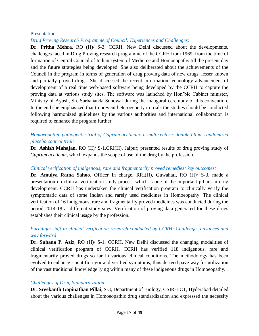#### Presentations:

#### *Drug Proving Research Programme of Council: Experiences and Challenges:*

**Dr. Pritha Mehra**, RO (H)/ S-3, CCRH, New Delhi discussed about the developments, challenges faced in Drug Proving research programme of the CCRH from 1969, from the time of formation of Central Council of Indian system of Medicine and Homoeopathy till the present day and the future strategies being developed. She also deliberated about the achievements of the Council in the program in terms of generation of drug proving data of new drugs, lesser known and partially proved drugs. She discussed the recent information technology advancement of development of a real time web-based software being developed by the CCRH to capture the proving data at various study sites. The software was launched by Hon'ble Cabinet minister, Ministry of Ayush, Sh. Sarbananda Sonowal during the inaugural ceremony of this convention. In the end she emphasized that to prevent heterogeneity in trials the studies should be conducted following harmonized guidelines by the various authorities and international collaboration is required to enhance the program further.

# *Homoeopathic pathogentic trial of Cuprum aceticum: a multicenteric double blind, randomized placebo control trial:*

**Dr. Ashish Mahajan**, RO (H)/ S-1,CRI(H), Jaipur; presented results of drug proving study of *Cuprum aceticum*, which expands the scope of use of the drug by the profession.

#### *Clinical verification of indigenous, rare and fragmentarily proved remedies: key outcomes:*

**Dr. Amulya Ratna Sahoo**, Officer In charge, RRI(H), Guwahati, RO (H)/ S-3, made a presentation on clinical verification study process which is one of the important pillars in drug development. CCRH has undertaken the clinical verification program to clinically verify the symptomatic data of some Indian and rarely used medicines in Homoeopathy. The clinical verification of 16 indigenous, rare and fragmentarily proved medicines was conducted during the period 2014-18 at different study sites. Verification of proving data generated for these drugs establishes their clinical usage by the profession.

# *Paradigm shift in clinical verification research conducted by CCRH: Challenges advances and way forward:*

**Dr. Suhana P. Aziz**, RO (H)/ S-1, CCRH, New Delhi discussed the changing modalities of clinical verification program of CCRH. CCRH has verified 118 indigenous, rare and fragmentarily proved drugs so far in various clinical conditions. The methodology has been evolved to enhance scientific rigor and verified symptoms, thus derived pave way for utilization of the vast traditional knowledge lying within many of these indigenous drugs in Homoeopathy.

#### *Challenges of Drug Standardization*

**Dr. Sreekanth Gopinathan Pillai**, S-3, Department of Biology, CSIR-IICT, Hyderabad detailed about the various challenges in Homoeopathic drug standardization and expressed the necessity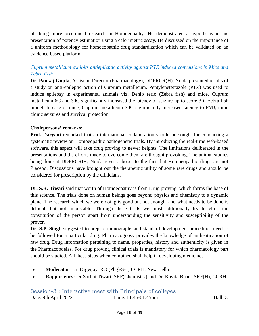of doing more preclinical research in Homoeopathy. He demonstrated a hypothesis in his presentation of potency estimation using a calorimetric assay. He discussed on the importance of a uniform methodology for homoeopathic drug standardization which can be validated on an evidence-based platform.

# *Cuprum metallicum exhibits antiepileptic activity against PTZ induced convulsions in Mice and Zebra Fish*

**Dr. Pankaj Gupta,** Assistant Director (Pharmacology), DDPRCR(H), Noida presented results of a study on anti-epileptic action of Cuprum metallicum. Pentylenetetrazole (PTZ) was used to induce epilepsy in experimental animals viz. Denio rerio (Zebra fish) and mice. Cuprum metallicum 6C and 30C significantly increased the latency of seizure up to score 3 in zebra fish model. In case of mice, Cuprum metallicum 30C significantly increased latency to FMJ, tonic clonic seizures and survival protection.

# **Chairpersons' remarks:**

**Prof. Daryani** remarked that an international collaboration should be sought for conducting a systematic review on Homoeopathic pathogenetic trials. By introducing the real-time web-based software, this aspect will take drug proving to newer heights. The limitations deliberated in the presentations and the efforts made to overcome them are thought provoking. The animal studies being done at DDPRCRIH, Noida gives a boost to the fact that Homoeopathic drugs are not Placebo. Discussions have brought out the therapeutic utility of some rare drugs and should be considered for prescription by the clinicians.

**Dr. S.K. Tiwari** said that worth of Homoeopathy is from Drug proving, which forms the base of this science. The trials done on human beings goes beyond physics and chemistry to a dynamic plane. The research which we were doing is good but not enough, and what needs to be done is difficult but not impossible. Through these trials we must additionally try to elicit the constitution of the person apart from understanding the sensitivity and susceptibility of the prover.

**Dr. S.P. Singh** suggested to prepare monographs and standard development procedures need to be followed for a particular drug. Pharmacognosy provides the knowledge of authentication of raw drug. Drug information pertaining to name, properties, history and authenticity is given in the Pharmacopoeias. For drug proving clinical trials is mandatory for which pharmacology part should be studied. All these steps when combined shall help in developing medicines.

- **Moderator**: Dr. Digvijay, RO (Phg)/S-1, CCRH, New Delhi.
- <span id="page-18-0"></span>**Rapporteurs:** Dr Surbhi Tiwari, SRF(Chemistry) and Dr. Kavita Bharti SRF(H), CCRH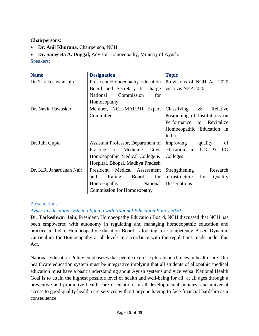**Chairpersons**:

- **Dr. Anil Khurana, Chairperson, NCH**
- **Dr. Sangeeta A. Duggal,** Advisor Homoeopathy, Ministry of Ayush.

Speakers:

| <b>Name</b>              | <b>Designation</b>                     | <b>Topic</b>                               |
|--------------------------|----------------------------------------|--------------------------------------------|
| Dr. Tarakeshwar Jain     | <b>President Homoeopathy Education</b> | Provisions of NCH Act 2020                 |
|                          | Board and Secretary In charge          | vis a vis NEP 2020                         |
|                          | National<br>Commission<br>for          |                                            |
|                          | Homoeopathy                            |                                            |
| Dr. Navin Pawasker       | Member, NCH-MARBH Expert               | Classifying<br>$\&$<br>Relative            |
|                          | Committee                              | Positioning of Institutions on             |
|                          |                                        | Performance<br>Revitalize<br>to            |
|                          |                                        | Homoeopathic Education in                  |
|                          |                                        | India                                      |
| Dr. Juhi Gupta           | Assistant Professor, Department of     | Improving<br>of<br>quality                 |
|                          | Practice<br>of<br>Medicine<br>Govt.    | education<br>in<br><b>UG</b><br>PG<br>$\&$ |
|                          | Homoeopathic Medical College &         | Colleges                                   |
|                          | Hospital, Bhopal, Madhya Pradesh       |                                            |
| Dr. K.R. Janardanan Nair | President, Medical Assessment          | Strengthening<br>Research                  |
|                          | and<br>Rating<br>Board<br>for          | infrastructure<br>for<br>Quality           |
|                          | National<br>Homoeopathy                | <b>Dissertations</b>                       |
|                          | <b>Commission for Homoeopathy</b>      |                                            |

# Presentations:

# *Ayush in education system- aligning with National Education Policy 2020:*

**Dr. Tarkeshwar Jain**, President, Homoeopathy Education Board, NCH discussed that NCH has been empowered with autonomy in regulating and managing homoeopathic education and practice in India. Homoeopathy Education Board is looking for Competency Based Dynamic Curriculum for Homoeopathy at all levels in accordance with the regulations made under this Act.

National Education Policy emphasizes that people exercise pluralistic choices in health care. Our healthcare education system must be integrative implying that all students of allopathic medical education must have a basic understanding about Ayush systems and vice versa. National Health Goal is to attain the highest possible level of health and well-being for all, at all ages through a preventive and promotive health care orientation, in all developmental policies, and universal access to good quality health care services without anyone having to face financial hardship as a consequence.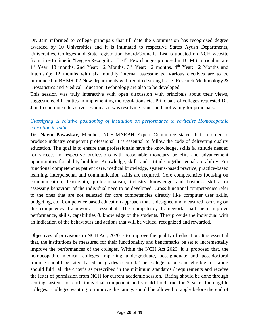Dr. Jain informed to college principals that till date the Commission has recognized degree awarded by 10 Universities and it is intimated to respective States Ayush Departments, Universities, Colleges and State registration Board/Councils. List is updated on NCH website from time to time in "Degree Recognition List". Few changes proposed in BHMS curriculum are 1<sup>st</sup> Year: 18 months, 2nd Year: 12 Months, 3<sup>rd</sup> Year: 12 months, 4<sup>th</sup> Year: 12 Months and Internship: 12 months with six monthly internal assessments. Various electives are to be introduced in BHMS. 02 New departments with required strengths i.e. Research Methodology & Biostatistics and Medical Education Technology are also to be developed.

This session was truly interactive with open discussion with principals about their views, suggestions, difficulties in implementing the regulations etc. Principals of colleges requested Dr. Jain to continue interactive session as it was resolving issues and motivating for principals.

# *Classifying & relative positioning of institution on performance to revitalize Homoeopathic education in India:*

**Dr. Navin Pawaskar**, Member, NCH-MARBH Expert Committee stated that in order to produce industry competent professional it is essential to follow the code of delivering quality education. The goal is to ensure that professionals have the knowledge, skills & attitude needed for success in respective professions with reasonable monetary benefits and advancement opportunities for ability building. Knowledge, skills and attitude together equals to ability. For functional competencies patient care, medical knowledge, systems-based practice, practice-based learning, interpersonal and communication skills are required. Core competencies focusing on communication, leadership, professionalism, industry knowledge and business skills for assessing behaviour of the individual need to be developed. Cross functional competencies refer to the ones that are not selected for core competencies directly like computer user skills, budgeting, etc. Competence based education approach that is designed and measured focusing on the competency framework is essential. The competency framework shall help improve performance, skills, capabilities  $\&$  knowledge of the students. They provide the individual with an indication of the behaviours and actions that will be valued, recognized and rewarded.

Objectives of provisions in NCH Act, 2020 is to improve the quality of education. It is essential that, the institutions be measured for their functionality and benchmarks be set to incrementally improve the performances of the colleges. Within the NCH Act 2020, it is proposed that, the homoeopathic medical colleges imparting undergraduate, post-graduate and post-doctoral training should be rated based on grades secured. The college to become eligible for rating should fulfil all the criteria as prescribed in the minimum standards / requirements and receive the letter of permission from NCH for current academic session. Rating should be done through scoring system for each individual component and should hold true for 3 years for eligible colleges. Colleges wanting to improve the ratings should be allowed to apply before the end of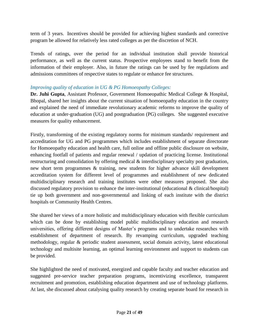term of 3 years. Incentives should be provided for achieving highest standards and corrective program be allowed for relatively less rated colleges as per the discretion of NCH.

Trends of ratings, over the period for an individual institution shall provide historical performance, as well as the current status. Prospective employees stand to benefit from the information of their employer. Also, in future the ratings can be used by fee regulations and admissions committees of respective states to regulate or enhance fee structures.

# *Improving quality of education in UG & PG Homoeopathy Colleges:*

**Dr. Juhi Gupta**, Assistant Professor, Government Homoeopathic Medical College & Hospital, Bhopal, shared her insights about the current situation of homoeopathy education in the country and explained the need of immediate revolutionary academic reforms to improve the quality of education at under-graduation (UG) and postgraduation (PG) colleges. She suggested executive measures for quality enhancement.

Firstly, transforming of the existing regulatory norms for minimum standards/ requirement and accreditation for UG and PG programmes which includes establishment of separate directorate for Homoeopathy education and health care, full online and offline public disclosure on website, enhancing footfall of patients and regular renewal / updation of practicing license. Institutional restructuring and consolidation by offering medical & interdisciplinary specialty post graduation, new short term programmes & training, new students for higher advance skill development accreditation system for different level of programmes and establishment of new dedicated multidisciplinary research and training institutes were other measures proposed. She also discussed regulatory provision to enhance the inter-institutional (educational & clinical/hospital) tie up both government and non-governmental and linking of each institute with the district hospitals or Community Health Centres.

She shared her views of a more holistic and multidisciplinary education with flexible curriculum which can be done by establishing model public multidisciplinary education and research universities, offering different designs of Master's programs and to undertake researches with establishment of department of research. By revamping curriculum, upgraded teaching methodology, regular & periodic student assessment, social domain activity, latest educational technology and multisite learning, an optimal learning environment and support to students can be provided.

She highlighted the need of motivated, energized and capable faculty and teacher education and suggested pre-service teacher preparation programs, incentivizing excellence, transparent recruitment and promotion, establishing education department and use of technology platforms. At last, she discussed about catalysing quality research by creating separate board for research in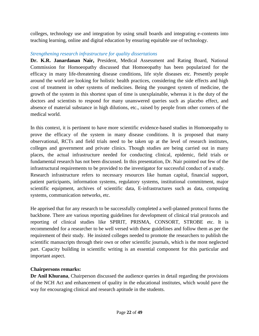colleges, technology use and integration by using small boards and integrating e-contents into teaching learning, online and digital education by ensuring equitable use of technology.

# *Strengthening research infrastructure for quality dissertations*

**Dr. K.R. Janardanan Nair,** President, Medical Assessment and Rating Board, National Commission for Homoeopathy discussed that Homoeopathy has been popularized for the efficacy in many life-threatening disease conditions, life style diseases etc. Presently people around the world are looking for holistic health practices, considering the side effects and high cost of treatment in other systems of medicines. Being the youngest system of medicine, the growth of the system in this shortest span of time is unexplainable, whereas it is the duty of the doctors and scientists to respond for many unanswered queries such as placebo effect, and absence of material substance in high dilutions, etc., raised by people from other corners of the medical world.

In this context, it is pertinent to have more scientific evidence-based studies in Homoeopathy to prove the efficacy of the system in many disease conditions. It is proposed that many observational, RCTs and field trials need to be taken up at the level of research institutes, colleges and government and private clinics. Though studies are being carried out in many places, the actual infrastructure needed for conducting clinical, epidemic, field trials or fundamental research has not been discussed. In this presentation, Dr. Nair pointed out few of the infrastructural requirements to be provided to the investigator for successful conduct of a study. Research infrastructure refers to necessary resources like human capital, financial support, patient participants, information systems, regulatory systems, institutional commitment, major scientific equipment, archives of scientific data, E-infrastructures such as data, computing systems, communication networks, etc.

He apprised that for any research to be successfully completed a well-planned protocol forms the backbone. There are various reporting guidelines for development of clinical trial protocols and reporting of clinical studies like SPIRIT, PRISMA, CONSORT, STROBE etc. It is recommended for a researcher to be well versed with these guidelines and follow them as per the requirement of their study. He insisted colleges needed to promote the researchers to publish the scientific manuscripts through their own or other scientific journals, which is the most neglected part. Capacity building in scientific writing is an essential component for this particular and important aspect.

#### **Chairpersons remarks:**

**Dr Anil Khurana**, Chairperson discussed the audience queries in detail regarding the provisions of the NCH Act and enhancement of quality in the educational institutes, which would pave the way for encouraging clinical and research aptitude in the students.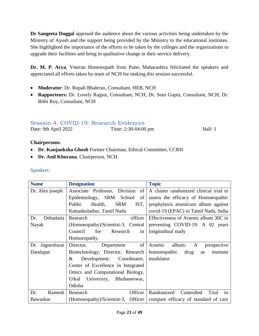**Dr Sangeeta Duggal** apprised the audience about the various activities being undertaken by the Ministry of Ayush and the support being provided by the Ministry to the educational institutes. She highlighted the importance of the efforts to be taken by the colleges and the organizations to upgrade their facilities and bring in qualitative change in their service delivery.

**Dr. M. P. Arya**, Veteran Homoeopath from Pune, Maharashtra felicitated the speakers and appreciated all efforts taken by team of NCH for making this session successful.

- **Moderator**: Dr. Rupali Bhalerao, Consultant, HEB, NCH
- **Rapporteurs:** Dr. Lovely Rajput, Consultant, NCH, Dr. Soni Gupta, Consultant, NCH, Dr. Bithi Roy, Consultant, NCH

# <span id="page-23-0"></span>Session-4: COVID-19: Research Evidences

Date: 9th April 2022 Time: 2:30-04:00 pm Hall: 1

# **Chairpersons**:

- **Dr. Kanjanksha Ghosh** Former Chairman, Ethical Committee, CCRH
- **Dr. Anil Khurana**, Chairperson, NCH.

# Speakers:

| <b>Name</b>      | <b>Designation</b>                      | <b>Topic</b>                                                              |
|------------------|-----------------------------------------|---------------------------------------------------------------------------|
| Dr. Alex joseph  | of<br>Associate Professor, Division     | A cluster randomized clinical trial to                                    |
|                  | Epidemiology, SRM School<br>of          | assess the efficacy of Homoeopathic                                       |
|                  | <b>SRM</b><br>IST,<br>Public<br>Health, | prophylaxis arsenicum album against                                       |
|                  | Kattankulathur, Tamil Nadu              | covid-19 (EPAC) in Tamil Nadu, India                                      |
| Debadatta<br>Dr. | Research<br>officer                     | Effectiveness of Arsenic album 30C in                                     |
| Nayak            | (Homoeopathy)/Scientist-3, Central      | preventing COVID-19: A 02 years                                           |
|                  | Council<br>for<br>Research<br>in        | longitudinal study                                                        |
|                  | Homoeopathy.                            |                                                                           |
| Dr. Jagneshwar   | of<br>Director,<br>Department           | Arsenic<br>album:<br>$\mathbf{A}$<br>prospective                          |
| Dandapat         | Biotechnology; Director, Research       | homoeopathic<br>drug<br>immune<br>as                                      |
|                  | Development; Coordinator,<br>$\&$       | modulator                                                                 |
|                  | Center of Excellence in Integrated      |                                                                           |
|                  | Omics and Computational Biology,        |                                                                           |
|                  | University, Bhubaneswar,<br>Utkal       |                                                                           |
|                  | Odisha                                  |                                                                           |
| Ramesh<br>Dr.    | Research<br>Officer                     | Randomized<br>Controlled<br>Trial<br>to                                   |
| <b>Bawaskar</b>  |                                         | (Homoeopathy)/Scientist-3, Officer   compare efficacy of standard of care |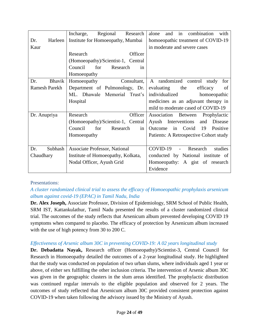|                      | Regional<br>Incharge,<br>Research  | in<br>combination<br>alone<br>and<br>with |
|----------------------|------------------------------------|-------------------------------------------|
| Harleen<br>Dr.       | Institute for Homoeopathy, Mumbai  | homoeopathic treatment of COVID-19        |
| Kaur                 |                                    | in moderate and severe cases              |
|                      | Officer<br>Research                |                                           |
|                      | (Homoeopathy)/Scientist-1, Central |                                           |
|                      | for<br>Council<br>Research<br>in   |                                           |
|                      | Homoeopathy                        |                                           |
| <b>Bhavik</b><br>Dr. | Homoeopathy<br>Consultant,         | A randomized control study<br>for         |
| <b>Ramesh Parekh</b> | Department of Pulmonology, Dr.     | efficacy<br>evaluating<br>the<br>of       |
|                      | ML. Dhawale Memorial Trust's       | individualized<br>homoeopathic            |
|                      | Hospital                           | medicines as an adjuvant therapy in       |
|                      |                                    | mild to moderate cased of COVID-19        |
| Dr. Anupriya         | Officer<br>Research                | Association Between<br>Prophylactic       |
|                      | (Homoeopathy)/Scientist-1, Central | Ayush Interventions<br>Disease<br>and     |
|                      | Council<br>for<br>Research<br>in   | in Covid<br>19<br>Outcome<br>Positive     |
|                      | Homoeopathy                        | Patients: A Retrospective Cohort study    |
|                      |                                    |                                           |
| Subhash<br>Dr.       | Associate Professor, National      | COVID-19<br>studies<br>- Research         |
| Chaudhary            | Institute of Homoeopathy, Kolkata, | conducted by National institute of        |
|                      | Nodal Officer, Ayush Grid          | Homoeopathy: A gist of research           |
|                      |                                    | Evidence                                  |

# Presentations:

# *A cluster randomized clinical trial to assess the efficacy of Homoeopathic prophylaxis arsenicum album against covid-19 (EPAC) in Tamil Nadu, India*

**Dr. Alex Joseph,** Associate Professor, Division of Epidemiology, SRM School of Public Health, SRM IST, Kattankulathur, Tamil Nadu presented the results of a cluster randomized clinical trial. The outcomes of the study reflects that Arsenicum album prevented developing COVID 19 symptoms when compared to placebo. The efficacy of protection by Arsenicum album increased with the use of high potency from 30 to 200 C.

# *Effectiveness of Arsenic album 30C in preventing COVID-19: A 02 years longitudinal study*

**Dr. Debadatta Nayak,** Research officer (Homoeopathy)/Scientist-3, Central Council for Research in Homoeopathy detailed the outcomes of a 2-year longitudinal study. He highlighted that the study was conducted on population of two urban slums, where individuals aged 1 year or above, of either sex fulfilling the other inclusion criteria. The intervention of Arsenic album 30C was given in the geographic clusters in the slum areas identified. The prophylactic distribution was continued regular intervals to the eligible population and observed for 2 years. The outcomes of study reflected that Arsenicum album 30C provided consistent protection against COVID-19 when taken following the advisory issued by the Ministry of Ayush.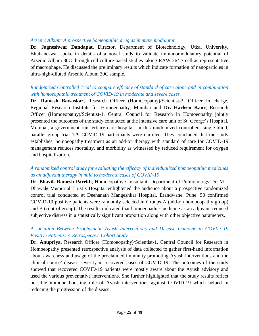#### *Arsenic Album: A prospective homeopathic drug as immune modulator*

**Dr. Jagneshwar Dandapat**, Director, Department of Biotechnology, Utkal University, Bhubaneswar spoke in details of a novel study to validate immunomodulatory potential of Arsenic Album 30C through cell culture-based studies taking RAW 264.7 cell as representative of macrophage. He discussed the preliminary results which indicate formation of nanoparticles in ultra-high-diluted Arsenic Album 30C sample.

# *Randomized Controlled Trial to compare efficacy of standard of care alone and in combination with homoeopathic treatment of COVID-19 in moderate and severe cases*

**Dr. Ramesh Bawaskar,** Research Officer (Homoeopathy)/Scientist-3, Officer In charge, Regional Research Institute for Homoeopathy, Mumbai and **Dr. Harleen Kaur**, Research Officer (Homoeopathy)/Scientist-1, Central Council for Research in Homoeopathy jointly presented the outcomes of the study conducted at the intensive care unit of St. George's Hospital, Mumbai, a government run tertiary care hospital. In this randomized controlled, single-blind, parallel group trial 129 COVID-19 participants were enrolled. They concluded that the study establishes, homoeopathy treatment as an add-on therapy with standard of care for COVID-19 management reduces mortality, and morbidity as witnessed by reduced requirement for oxygen and hospitalization.

# *A randomized control study for evaluating the efficacy of individualized homoeopathic medicines as an adjuvant therapy in mild to moderate cases of COVID-19*

**Dr. Bhavik Ramesh Parekh**, Homoeopathy Consultant, Department of Pulmonology-Dr. ML. Dhawale Memorial Trust's Hospital enlightened the audience about a prospective randomized control trial conducted at Deenanath Mangeshkar Hospital, Erandwane, Pune. 50 confirmed COVID-19 positive patients were randomly selected in Groups A (add-on homoeopathy group) and B (control group). The results indicated that homoeopathic medicine as an adjuvant reduced subjective distress in a statistically significant proportion along with other objective parameters.

# *Association Between Prophylactic Ayush Interventions and Disease Outcome in COVID 19 Positive Patients: A Retrospective Cohort Study*

**Dr. Anupriya**, Research Officer (Homoeopathy)/Scientist-1, Central Council for Research in Homoeopathy presented retrospective analysis of data collected to gather first-hand information about awareness and usage of the proclaimed immunity promoting Ayush interventions and the clinical course/ disease severity in recovered cases of COVID-19. The outcomes of the study showed that recovered COVID-19 patients were mostly aware about the Ayush advisory and used the various preventative interventions. She further highlighted that the study results reflect possible immune boosting role of Ayush interventions against COVID-19 which helped in reducing the progression of the disease.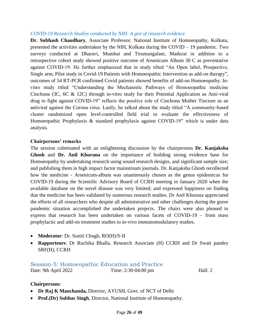#### *COVID-19 Research Studies conducted by NIH: A gist of research evidence*

**Dr. Subhash Chaudhary**, Associate Professor, National Institute of Homoeopathy, Kolkata, presented the activities undertaken by the NIH, Kolkata during the COVID – 19 pandemic. Two surveys conducted at Dharavi, Mumbai and Tirumangalam, Madurai in addition to a retrospective cohort study showed positive outcome of Arsenicum Album 30 C as preventative against COVID-19. He further emphasized that in study tilted "An Open label, Prospective, Single arm, Pilot study in Covid-19 Patients with Homoeopathic Intervention as add-on therapy", outcomes of 54 RT-PCR confirmed Covid patients showed benefits of add-on Homoeopathy. Invitro study titled "Understanding the Mechanistic Pathways of Homoeopathic medicine Cinchona (3C, 6C & 12C) through in-vitro study for their Potential Application as Anti-viral drug to fight against COVID-19" reflects the positive role of Cinchona Mother Tincture as an antiviral against the Corona virus. Lastly, he talked about the study titled "A community-based cluster randomized open level-controlled field trial to evaluate the effectiveness of Homoeopathic Prophylaxis & standard prophylaxis against COVID-19" which is under data analysis.

#### **Chairpersons' remarks**

The session culminated with an enlightening discussion by the chairpersons **Dr. Kanjaksha Ghosh** and **Dr. Anil Khurana** on the importance of building strong evidence base for Homoeopathy by undertaking research using sound research designs, and significant sample size; and publishing them in high impact factor mainstream journals. Dr. Kanjaksha Ghosh recollected how the medicine - Arsenicum-album was unanimously chosen as the genus epidemicus for COVID-19 during the Scientific Advisory Board of CCRH meeting in January 2020 when the available database on the novel disease was very limited; and expressed happiness on finding that the medicine has been validated by numerous research studies. Dr Anil Khurana appreciated the efforts of all researchers who despite all administrative and other challenges during the grave pandemic situation accomplished the undertaken projects. The chairs were also pleased to express that research has been undertaken on various facets of COVID-19 – from mass prophylactic and add-on treatment studies to in-vivo immunomodulatory studies.

- **Moderator**: Dr. Suniti Chugh, RO(H)/S-II
- **Rapporteurs**: Dr Ruchika Bhalla, Research Associate (H) CCRH and Dr Swati pandey SRF(H), CCRH

#### <span id="page-26-0"></span>Session-5: Homoeopathic Education and Practice

Date: 9th April 2022 Time: 2:30-04:00 pm Hall: 2

#### **Chairpersons**:

- **Dr Raj K Manchanda,** Director, AYUSH, Govt. of NCT of Delhi
- **Prof.(Dr) Subhas Singh**, Director, National Institute of Homoeopathy.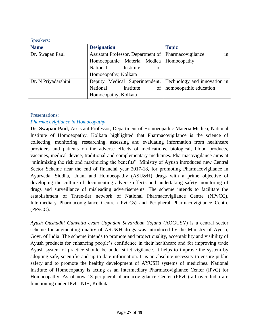#### Speakers:

| <b>Name</b>         | <b>Designation</b>                                     | <b>Topic</b>                 |
|---------------------|--------------------------------------------------------|------------------------------|
| Dr. Swapan Paul     | Assistant Professor, Department of   Pharmacovigilance | 1n                           |
|                     | Homoeopathic Materia Medica   Homoeopathy              |                              |
|                     | National<br>of<br>Institute                            |                              |
|                     | Homoeopathy, Kolkata                                   |                              |
| Dr. N Priyadarshini | Deputy Medical Superintendent,                         | Technology and innovation in |
|                     | National<br>Institute<br>of                            | homoeopathic education       |
|                     | Homoeopathy, Kolkata                                   |                              |

### Presentations:

# *Pharmacovigilance in Homoeopathy*

**Dr. Swapan Paul**, Assistant Professor, Department of Homoeopathic Materia Medica, National Institute of Homoeopathy, Kolkata highlighted that Pharmacovigilance is the science of collecting, monitoring, researching, assessing and evaluating information from healthcare providers and patients on the adverse effects of medications, biological, blood products, vaccines, medical device, traditional and complementary medicines. Pharmacovigilance aims at "minimizing the risk and maximizing the benefits". Ministry of Ayush introduced new Central Sector Scheme near the end of financial year 2017-18, for promoting Pharmacovigilance in Ayurveda, Siddha, Unani and Homoeopathy (ASU&H) drugs with a prime objective of developing the culture of documenting adverse effects and undertaking safety monitoring of drugs and surveillance of misleading advertisements. The scheme intends to facilitate the establishment of Three-tier network of National Pharmacovigilance Centre (NPvCC), Intermediary Pharmacovigilance Centre (IPvCCs) and Peripheral Pharmacovigilance Centre (PPvCC).

*Ayush Oushadhi Gunvatta evam Uttpadan Savardhan Yojana* (AOGUSY) is a central sector scheme for augmenting quality of ASU&H drugs was introduced by the Ministry of Ayush, Govt. of India. The scheme intends to promote and project quality, acceptability and visibility of Ayush products for enhancing people's confidence in their healthcare and for improving trade Ayush system of practice should be under strict vigilance. It helps to improve the system by adopting safe, scientific and up to date information. It is an absolute necessity to ensure public safety and to promote the healthy development of AYUSH systems of medicines. National Institute of Homoeopathy is acting as an Intermediary Pharmacovigilance Center (IPvC) for Homoeopathy. As of now 13 peripheral pharmacovigilance Center (PPvC) all over India are functioning under IPvC, NIH, Kolkata.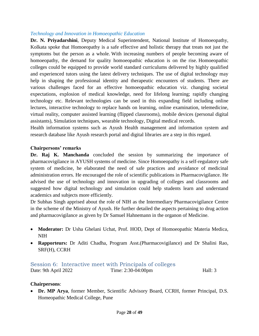#### *Technology and Innovation in Homoeopathic Education*

**Dr. N. Priyadarshini**, Deputy Medical Superintendent, National Institute of Homoeopathy, Kolkata spoke that Homoeopathy is a safe effective and holistic therapy that treats not just the symptoms but the person as a whole. With increasing numbers of people becoming aware of homoeopathy, the demand for quality homoeopathic education is on the rise. Homoeopathic colleges could be equipped to provide world standard curriculums delivered by highly qualified and experienced tutors using the latest delivery techniques. The use of digital technology may help in shaping the professional identity and therapeutic encounters of students. There are various challenges faced for an effective homoeopathic education viz. changing societal expectations, explosion of medical knowledge, need for lifelong learning; rapidly changing technology etc. Relevant technologies can be used in this expanding field including online lectures, interactive technology to replace hands on learning, online examination, telemedicine, virtual reality, computer assisted learning (flipped classrooms), mobile devices (personal digital assistants), Simulation techniques, wearable technology, Digital medical records.

Health information systems such as Ayush Health management and information system and research database like Ayush research portal and digital libraries are a step in this regard.

#### **Chairpersons' remarks**

**Dr. Raj K. Manchanda** concluded the session by summarizing the importance of pharmacovigilance in AYUSH systems of medicine. Since Homoeopathy is a self-regulatory safe system of medicine, he elaborated the need of safe practices and avoidance of medicinal administration errors. He encouraged the role of scientific publications in Pharmacovigilance. He advised the use of technology and innovation in upgrading of colleges and classrooms and suggested how digital technology and simulation could help students learn and understand academics and subjects more efficiently.

Dr Subhas Singh apprised about the role of NIH as the Intermediary Pharmacovigilance Centre in the scheme of the Ministry of Ayush. He further detailed the aspects pertaining to drug action and pharmacovigilance as given by Dr Samuel Hahnemann in the organon of Medicine.

- **Moderator:** Dr Usha Ghelani Uchat, Prof. HOD, Dept of Homoeopathic Materia Medica, NIH
- **Rapporteurs:** Dr Aditi Chadha, Program Asst.(Pharmacovigilance) and Dr Shalini Rao, SRF(H), CCRH

#### <span id="page-28-0"></span>Session 6: Interactive meet with Principals of colleges Date: 9th April 2022 Time: 2:30-04:00pm Hall: 3

#### **Chairpersons**:

 **Dr. MP Arya**, former Member, Scientific Advisory Board, CCRH, former Principal, D.S. Homeopathic Medical College, Pune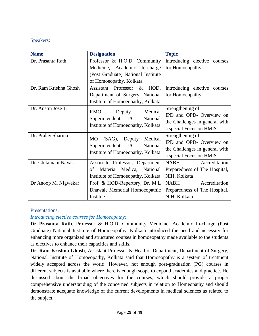# Speakers:

| <b>Name</b>           | <b>Designation</b>                                  | <b>Topic</b>                    |
|-----------------------|-----------------------------------------------------|---------------------------------|
| Dr. Prasanta Rath     | Professor & H.O.D. Community                        | Introducing elective courses    |
|                       | Medicine, Academic In-charge                        | for Homoeopathy                 |
|                       | (Post Graduate) National Institute                  |                                 |
|                       | of Homoeopathy, Kolkata                             |                                 |
| Dr. Ram Krishna Ghosh | Assistant Professor<br>HOD,<br>$\&$                 | Introducing elective<br>courses |
|                       | Department of Surgery, National                     | for Homoeopathy                 |
|                       | Institute of Homoeopathy, Kolkata                   |                                 |
| Dr. Austin Jose T.    | RMO,<br>Medical                                     | Strengthening of                |
|                       | Deputy                                              | IPD and OPD- Overview on        |
|                       | Superintendent I/C,<br>National                     | the Challenges in general with  |
|                       | Institute of Homoeopathy, Kolkata                   | a special Focus on HMIS         |
| Dr. Pralay Sharma     | Medical<br><b>MO</b><br>$(SAG)$ ,                   | Strengthening of                |
|                       | Deputy<br>$\rm I/C$ ,<br>Superintendent<br>National | IPD and OPD- Overview on        |
|                       |                                                     | the Challenges in general with  |
|                       | Institute of Homoeopathy, Kolkata                   | a special Focus on HMIS         |
| Dr. Chitamani Nayak   | Associate Professor, Department                     | Accreditation<br>NABH           |
|                       | Medica, National<br>Materia<br>οf                   | Preparedness of The Hospital,   |
|                       | Institute of Homoeopathy, Kolkata                   | NIH, Kolkata                    |
| Dr Anoop M. Nigwekar  | Prof. & HOD-Repertory, Dr. M.L.                     | Accreditation<br><b>NABH</b>    |
|                       | Dhawale Memorial Homoeopathic                       | Preparedness of The Hospital,   |
|                       | Institue                                            | NIH, Kolkata                    |

#### Presentations:

# *Introducing elective courses for Homoeopathy:*

**Dr Prasanta Rath**, Professor & H.O.D. Community Medicine, Academic In-charge (Post Graduate) National Institute of Homoeopathy, Kolkata introduced the need and necessity for enhancing more organized and structured courses in homoeopathy made available to the students as electives to enhance their capacities and skills.

**Dr. Ram Krishna Ghosh**, Assistant Professor & Head of Department, Department of Surgery, National Institute of Homoeopathy, Kolkata said that Homoeopathy is a system of treatment widely accepted across the world. However, not enough post-graduation (PG) courses in different subjects is available where there is enough scope to expand academics and practice. He discussed about the broad objectives for the courses, which should provide a proper comprehensive understanding of the concerned subjects in relation to Homeopathy and should demonstrate adequate knowledge of the current developments in medical sciences as related to the subject.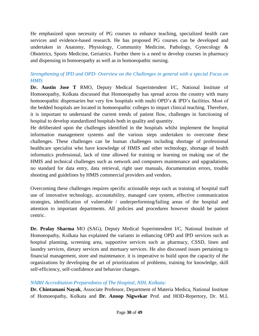He emphasized upon necessity of PG courses to enhance teaching, specialized health care services and evidence-based research. He has proposed PG courses can be developed and undertaken in Anatomy, Physiology, Community Medicine, Pathology, Gynecology & Obstetrics, Sports Medicine, Geriatrics. Further there is a need to develop courses in pharmacy and dispensing in homoeopathy as well as in homoeopathic nursing.

# *Strengthening of IPD and OPD- Overview on the Challenges in general with a special Focus on HMIS*

**Dr. Austin Jose T** RMO, Deputy Medical Superintendent I/C, National Institute of Homoeopathy, Kolkata discussed that Homoeopathy has spread across the country with many homoeopathic dispensaries but very few hospitals with multi OPD's & IPD's facilities. Most of the bedded hospitals are located in homoeopathic colleges to impart clinical teaching. Therefore, it is important to understand the current trends of patient flow, challenges in functioning of hospital to develop standardized hospitals both in quality and quantity.

He deliberated upon the challenges identified in the hospitals whilst implement the hospital information management systems and the various steps undertaken to overcome these challenges. These challenges can be human challenges including shortage of professional healthcare specialist who have knowledge of HMIS and other technology, shortage of health informatics professional, lack of time allowed for training or learning on making use of the HMIS and technical challenges such as network and computers maintenance and upgradations, no standard for data entry, data retrieval, right user manuals, documentation errors, trouble shooting and guidelines by HMIS commercial providers and vendors.

Overcoming these challenges requires specific actionable steps such as training of hospital staff use of innovative technology, accountability, managed care system, effective communication strategies, identification of vulnerable / underperforming/failing areas of the hospital and attention to important departments. All policies and procedures however should be patient centric.

**Dr. Pralay Sharma** MO (SAG), Deputy Medical Superintendent I/C, National Institute of Homoeopathy, Kolkata has explained the variants in enhancing OPD and IPD services such as hospital planning, screening area, supportive services such as pharmacy, CSSD, linen and laundry services, dietary services and mortuary services. He also discussed issues pertaining to financial management, store and maintenance. it is imperative to build upon the capacity of the organizations by developing the art of prioritization of problems, training for knowledge, skill self-efficiency, self-confidence and behavior changes.

# *NABH Accreditation Preparedness of The Hospital, NIH, Kolkata:*

**Dr. Chintamani Nayak**, Associate Professor, Department of Materia Medica, National Institute of Homoeopathy, Kolkata and **Dr. Anoop Nigwekar** Prof. and HOD-Repertory, Dr. M.L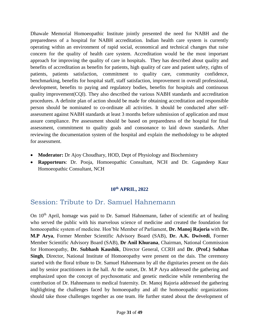Dhawale Memorial Homoeopathic Institute jointly presented the need for NABH and the preparedness of a hospital for NABH accreditation. Indian health care system is currently operating within an environment of rapid social, economical and technical changes that raise concern for the quality of health care system. Accreditation would be the most important approach for improving the quality of care in hospitals. They has described about quality and benefits of accreditation as benefits for patients, high quality of care and patient safety, rights of patients, patients satisfaction, commitment to quality care, community confidence, benchmarking, benefits for hospital staff, staff satisfaction, improvement in overall professional, development, benefits to paying and regulatory bodies, benefits for hospitals and continuous quality improvement(CQI). They also described the various NABH standards and accreditation procedures. A definite plan of action should be made for obtaining accreditation and responsible person should be nominated to co-ordinate all activities. It should be conducted after selfassessment against NABH standards at least 3 months before submission of application and must assure compliance. Pre assessment should be based on preparedness of the hospital for final assessment, commitment to quality goals and consonance to laid down standards. After reviewing the documentation system of the hospital and explain the methodology to be adopted for assessment.

- **Moderator:** Dr Ajoy Choudhary, HOD, Dept of Physiology and Biochemistry
- **Rapporteurs**: Dr. Pooja, Homoeopathic Consultant, NCH and Dr. Gagandeep Kaur Homoeopathic Consultant, NCH

# **10th APRIL, 2022**

# <span id="page-31-0"></span>Session: Tribute to Dr. Samuel Hahnemann

On 10th April, homage was paid to Dr. Samuel Hahnemann, father of scientific art of healing who served the public with his marvelous science of medicine and created the foundation for homoeopathic system of medicine. Hon'ble Member of Parliament, **Dr. Manoj Rajoria** with **Dr. M.P Arya**, Former Member Scientific Advisory Board (SAB), **Dr. A.K. Dwivedi**, Former Member Scientific Advisory Board (SAB), **Dr Anil Khurana**, Chairman, National Commission for Homoeopathy, **Dr. Subhash Kaushik**, Director General, CCRH and **Dr. (Prof.) Subhas Singh**, Director, National Institute of Homoeopathy were present on the dais. The ceremony started with the floral tribute to Dr. Samuel Hahnemann by all the dignitaries present on the dais and by senior practitioners in the hall. At the outset, Dr. M.P Arya addressed the gathering and emphasized upon the concept of psychosomatic and genetic medicine while remembering the contribution of Dr. Hahnemann to medical fraternity. Dr. Manoj Rajoria addressed the gathering highlighting the challenges faced by homoeopathy and all the homoeopathic organizations should take those challenges together as one team. He further stated about the development of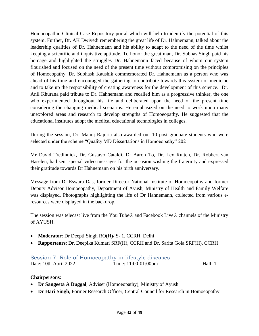Homoeopathic Clinical Case Repository portal which will help to identify the potential of this system. Further, Dr. AK Dwivedi remembering the great life of Dr. Hahnemann, talked about the leadership qualities of Dr. Hahnemann and his ability to adapt to the need of the time whilst keeping a scientific and inquisitive aptitude. To honor the great man, Dr. Subhas Singh paid his homage and highlighted the struggles Dr. Hahnemann faced because of whom our system flourished and focused on the need of the present time without compromising on the principles of Homoeopathy. Dr. Subhash Kaushik commemorated Dr. Hahnemann as a person who was ahead of his time and encouraged the gathering to contribute towards this system of medicine and to take up the responsibility of creating awareness for the development of this science. Dr. Anil Khurana paid tribute to Dr. Hahnemann and recalled him as a progressive thinker, the one who experimented throughout his life and deliberated upon the need of the present time considering the changing medical scenarios. He emphasized on the need to work upon many unexplored areas and research to develop strengths of Homoeopathy. He suggested that the educational institutes adopt the medical educational technologies in colleges.

During the session, Dr. Manoj Rajoria also awarded our 10 post graduate students who were selected under the scheme "Quality MD Dissertations in Homoeopathy" 2021.

Mr David Tredinnick, Dr. Gustavo Cataldi, Dr Aaron To, Dr. Lex Rutten, Dr. Robbert van Haselen, had sent special video messages for the occasion wishing the fraternity and expressed their gratitude towards Dr Hahnemann on his birth anniversary.

Message from Dr Eswara Das, former Director National institute of Homoeopathy and former Deputy Advisor Homoeopathy, Department of Ayush, Ministry of Health and Family Welfare was displayed. Photographs highlighting the life of Dr Hahnemann, collected from various eresources were displayed in the backdrop.

The session was telecast live from the You Tube® and Facebook Live® channels of the Ministry of AYUSH.

- **Moderator**: Dr Deepti Singh RO(H)/ S- 1, CCRH, Delhi
- **Rapporteurs**: Dr. Deepika Kumari SRF(H), CCRH and Dr. Sarita Gola SRF(H), CCRH

# <span id="page-32-0"></span>Session 7: Role of Homoeopathy in lifestyle diseases

Date: 10th April 2022 Time: 11:00-01:00pm Hall: 1

# **Chairpersons**:

- **Dr Sangeeta A Duggal**, Adviser (Homoeopathy), Ministry of Ayush
- **Dr Hari Singh**, Former Research Officer, Central Council for Research in Homoeopathy.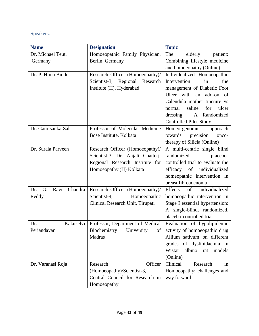# Speakers:

| <b>Name</b>                  | <b>Designation</b>                | <b>Topic</b>                      |
|------------------------------|-----------------------------------|-----------------------------------|
| Dr. Michael Teut,            | Homoeopathic Family Physician,    | The<br>elderly<br>patient:        |
| Germany                      | Berlin, Germany                   | Combining lifestyle medicine      |
|                              |                                   | and homoeopathy (Online)          |
| Dr. P. Hima Bindu            | Research Officer (Homoeopathy)/   | Individualized Homoeopathic       |
|                              | Scientist-3, Regional<br>Research | Intervention<br>in<br>the         |
|                              | Institute (H), Hyderabad          | management of Diabetic Foot       |
|                              |                                   | Ulcer with<br>add-on<br>an<br>of  |
|                              |                                   | Calendula mother tincture vs      |
|                              |                                   | saline<br>normal<br>for<br>ulcer  |
|                              |                                   | dressing:<br>A Randomized         |
|                              |                                   | <b>Controlled Pilot Study</b>     |
| Dr. GaurisankarSah           | Professor of Molecular Medicine   | Homeo-genomic<br>approach         |
|                              | Bose Institute, Kolkata           | towards<br>precision<br>onco-     |
|                              |                                   | therapy of Silicia (Online)       |
| Dr. Suraia Parveen           | Research Officer (Homoeopathy)/   | A multi-centric single blind      |
|                              | Scientist-3, Dr. Anjali Chatterji | randomized<br>placebo-            |
|                              | Regional Research Institute for   | controlled trial to evaluate the  |
|                              | Homoeopathy (H) Kolkata           | efficacy of individualized        |
|                              |                                   | homeopathic intervention in       |
|                              |                                   | breast fibroadenoma               |
| Ravi<br>Chandra<br>G.<br>Dr. | Research Officer (Homoeopathy)/   | of<br>individualized<br>Effects   |
| Reddy                        | Homoeopathic<br>Scientist-4,      | homoeopathic intervention in      |
|                              | Clinical Research Unit, Tirupati  | Stage I essential hypertension:   |
|                              |                                   | A single-blind, randomized,       |
|                              |                                   | placebo-controlled trial          |
| Kalaiselvi<br>Dr.            | Professor, Department of Medical  | Evaluation of hypolipidemic       |
| Periandavan                  | Biochemistry<br>University<br>of  | activity of homoeopathic drug     |
|                              | Madras                            | Allium sativum on different       |
|                              |                                   | grades<br>of dyslipidaemia in     |
|                              |                                   | Wistar<br>albino<br>models<br>rat |
|                              |                                   | (Online)                          |
| Dr. Varanasi Roja            | Officer<br>Research               | Clinical<br>Research<br>in        |
|                              | (Homoeopathy)/Scientist-3,        | Homoeopathy: challenges and       |
|                              | Central Council for Research in   | way forward                       |
|                              | Homoeopathy                       |                                   |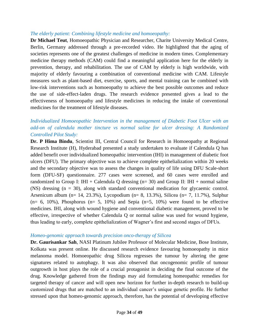#### *The elderly patient: Combining lifestyle medicine and homoeopathy:*

**Dr Michael Teut**, Homoeopathic Physician and Researcher, Charite University Medical Centre, Berlin, Germany addressed through a pre-recorded video. He highlighted that the aging of societies represents one of the greatest challenges of medicine in modern times. Complementary medicine therapy methods (CAM) could find a meaningful application here for the elderly in prevention, therapy, and rehabilitation. The use of CAM by elderly is high worldwide, with majority of elderly favouring a combination of conventional medicine with CAM. Lifestyle measures such as plant-based diet, exercise, sports, and mental training can be combined with low-risk interventions such as homoeopathy to achieve the best possible outcomes and reduce the use of side-effect-laden drugs. The research evidence presented gives a lead to the effectiveness of homoeopathy and lifestyle medicines in reducing the intake of conventional medicines for the treatment of lifestyle diseases.

# *Individualized Homoeopathic Intervention in the management of Diabetic Foot Ulcer with an add-on of calendula mother tincture vs normal saline for ulcer dressing: A Randomized Controlled Pilot Study:*

**Dr. P Hima Bindu**, Scientist III, Central Council for Research in Homoeopathy at Regional Research Institute (H), Hyderabad presented a study undertaken to evaluate if Calendula Q has added benefit over individualized homeopathic intervention (IHI) in management of diabetic foot ulcers (DFU). The primary objective was to achieve complete epithelialization within 20 weeks and the secondary objective was to assess the changes in quality of life using DFU Scale-short form (DFU-SF) questionnaire. 277 cases were screened, and 60 cases were enrolled and randomized to Group I: IHI + Calendula Q dressing  $(n=30)$  and Group II: IHI + normal saline (NS) dressing (n = 30), along with standard conventional medication for glycaemic control. Arsenicum album (n= 14, 23.3%), Lycopodium (n= 8, 13.3%), Silicea (n= 7, 11.7%), Sulphur  $(n= 6, 10\%)$ , Phosphorus  $(n= 5, 10\%)$  and Sepia  $(n=5, 10\%)$  were found to be effective medicines. IHI, along with wound hygiene and conventional diabetic management, proved to be effective, irrespective of whether Calendula Q or normal saline was used for wound hygiene, thus leading to early, complete epithelialization of Wagner's first and second stages of DFUs.

#### *Homeo-genomic approach towards precision onco-therapy of Silicea*

**Dr. Gaurisankar Sah**, NASI Platinum Jubilee Professor of Molecular Medicine, Bose Institute, Kolkata was present online. He discussed research evidence favouring homoeopathy in mice melanoma model. Homoeopathic drug Silicea regresses the tumour by altering the gene signatures related to autophagy. It was also observed that oncogenomic profile of tumour outgrowth in host plays the role of a crucial protagonist in deciding the final outcome of the drug. Knowledge gathered from the findings may aid formulating homeopathic remedies for targeted therapy of cancer and will open new horizon for further in-depth research to build-up customized drugs that are matched to an individual cancer's unique genetic profile. He further stressed upon that homeo-genomic approach, therefore, has the potential of developing effective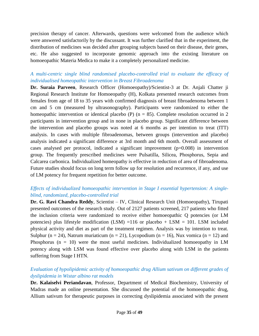precision therapy of cancer. Afterwards, questions were welcomed from the audience which were answered satisfactorily by the discussant. It was further clarified that in the experiment, the distribution of medicines was decided after grouping subjects based on their disease, their genes, etc. He also suggested to incorporate genomic approach into the existing literature on homoeopathic Materia Medica to make it a completely personalized medicine.

# *A multi-centric single blind randomised placebo-controlled trial to evaluate the efficacy of individualised homeopathic intervention in Breast Fibroadenoma*

**Dr. Suraia Parveen**, Research Officer (Homoeopathy)/Scientist-3 at Dr. Anjali Chatter ji Regional Research Institute for Homoeopathy (H), Kolkata presented research outcomes from females from age of 18 to 35 years with confirmed diagnosis of breast fibroadenoma between 1 cm and 5 cm (measured by ultrasonography). Participants were randomized to either the homeopathic intervention or identical placebo (P) ( $n = 85$ ). Complete resolution occurred in 2 participants in intervention group and in none in placebo group. Significant difference between the intervention and placebo groups was noted at 6 months as per intention to treat (ITT) analysis. In cases with multiple fibroadenomas, between groups (intervention and placebo) analysis indicated a significant difference at 3rd month and 6th month. Overall assessment of cases analysed per protocol, indicated a significant improvement  $(p=0.008)$  in intervention group. The frequently prescribed medicines were Pulsatilla, Silicea, Phosphorus, Sepia and Calcarea carbonica. Individualized homeopathy is effective in reduction of area of fibroadenoma. Future studies should focus on long term follow up for resolution and recurrence, if any, and use of LM potency for frequent repetition for better outcome.

# *Effects of individualized homoeopathic intervention in Stage I essential hypertension: A singleblind, randomized, placebo-controlled trial*

**Dr. G. Ravi Chandra Reddy**, Scientist – IV, Clinical Research Unit (Homoeopathy), Tirupati presented outcomes of the research study. Out of 2127 patients screened, 217 patients who fitted the inclusion criteria were randomized to receive either homoeopathic Q potencies (or LM potencies) plus lifestyle modification (LSM) =116 or placebo + LSM = 101. LSM included physical activity and diet as part of the treatment regimen. Analysis was by intention to treat. Sulphur (n = 24), Natrum muriaticum (n = 21), Lycopodium (n = 16), Nux vomica (n = 12) and Phosphorus ( $n = 10$ ) were the most useful medicines. Individualized homoeopathy in LM potency along with LSM was found effective over placebo along with LSM in the patients suffering from Stage I HTN.

# *Evaluation of hypolipidemic activity of homoeopathic drug Allium sativum on different grades of dyslipidemia in Wistar albino rat models*

**Dr. Kalaiselvi Periandavan**, Professor, Department of Medical Biochemistry, University of Madras made an online presentation. She discussed the potential of the homoeopathic drug, Allium sativum for therapeutic purposes in correcting dyslipidemia associated with the present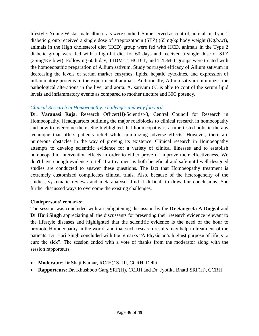lifestyle. Young Wistar male albino rats were studied. Some served as control, animals in Type 1 diabetic group received a single dose of streptozotocin (STZ) (65mg/kg body weight (Kg.b.wt), animals in the High cholesterol diet (HCD) group were fed with HCD, animals in the Type 2 diabetic group were fed with a high-fat diet for 60 days and received a single dose of STZ (35mg/Kg b.wt). Following 60th day, T1DM-T, HCD-T, and T2DM-T groups were treated with the homoeopathic preparation of Allium sativum. Study portrayed efficacy of Allium sativum in decreasing the levels of serum marker enzymes, lipids, hepatic cytokines, and expression of inflammatory proteins in the experimental animals. Additionally, Allium sativum minimizes the pathological alterations in the liver and aorta. A. sativum 6C is able to control the serum lipid levels and inflammatory events as compared to mother tincture and 30C potency.

# *Clinical Research in Homoeopathy: challenges and way forward*

**Dr. Varanasi Roja**, Research Officer(H)/Scientist-3, Central Council for Research in Homoeopathy, Headquarters outlining the major roadblocks to clinical research in homoeopathy and how to overcome them. She highlighted that homoeopathy is a time-tested holistic therapy technique that offers patients relief while minimizing adverse effects. However, there are numerous obstacles in the way of proving its existence. Clinical research in Homoeopathy attempts to develop scientific evidence for a variety of clinical illnesses and to establish homoeopathic intervention effects in order to either prove or improve their effectiveness. We don't have enough evidence to tell if a treatment is both beneficial and safe until well-designed studies are conducted to answer these questions. The fact that Homoeopathy treatment is extremely customized complicates clinical trials. Also, because of the heterogeneity of the studies, systematic reviews and meta-analyses find it difficult to draw fair conclusions. She further discussed ways to overcome the existing challenges.

#### **Chairpersons' remarks:**

The session was concluded with an enlightening discussion by the **Dr Sangeeta A Duggal** and **Dr Hari Singh** appreciating all the discussants for presenting their research evidence relevant to the lifestyle diseases and highlighted that the scientific evidence is the need of the hour to promote Homoeopathy in the world, and that such research results may help in treatment of the patients. Dr. Hari Singh concluded with the remarks "A Physician's highest purpose of life is to cure the sick". The session ended with a vote of thanks from the moderator along with the session rapporteurs.

- **Moderator**: Dr Shaji Kumar, RO(H)/ S- III, CCRH, Delhi
- **Rapporteurs**: Dr. Khushboo Garg SRF(H), CCRH and Dr. Jyotika Bhatti SRF(H), CCRH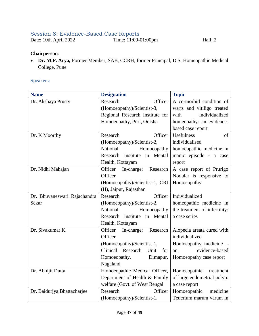# <span id="page-37-0"></span>Session 8: Evidence-Based Case Reports

Date: 10th April 2022 Time: 11:00-01:00pm Hall: 2

### **Chairperson**:

 **Dr. M.P. Arya,** Former Member, SAB, CCRH, former Principal, D.S. Homeopathic Medical College, Pune

# Speakers:

| <b>Name</b>                  | <b>Designation</b>                | <b>Topic</b>                  |
|------------------------------|-----------------------------------|-------------------------------|
| Dr. Akshaya Prusty           | Officer<br>Research               | A co-morbid condition of      |
|                              | (Homoeopathy)/Scientist-3,        | warts and vitiligo treated    |
|                              | Regional Research Institute for   | individualized<br>with        |
|                              | Homoeopathy, Puri, Odisha         | homeopathy: an evidence-      |
|                              |                                   | based case report             |
| Dr. K Moorthy                | Officer<br>Research               | Usefulness<br>of              |
|                              | (Homoeopathy)/Scientist-2,        | individualised                |
|                              | National<br>Homoeopathy           | homoeopathic medicine in      |
|                              | Research Institute in Mental      | manic episode - a case        |
|                              | Health, Kottayam                  | report                        |
| Dr. Nidhi Mahajan            | Officer<br>In-charge;<br>Research | A case report of Prurigo      |
|                              | Officer                           | Nodular is responsive to      |
|                              | (Homoeopathy)/Scientist-1, CRI    | Homoeopathy                   |
|                              | (H), Jaipur, Rajasthan            |                               |
| Dr. Bhuvaneswari Rajachandra | Research<br>Officer               | Individualized                |
| Sekar                        | (Homoeopathy)/Scientist-2,        | homeopathic medicine in       |
|                              | National<br>Homoeopathy           | the treatment of infertility: |
|                              | Research Institute in Mental      | a case series                 |
|                              | Health, Kottayam                  |                               |
| Dr. Sivakumar K.             | Officer<br>In-charge;<br>Research | Alopecia areata cured with    |
|                              | Officer                           | individualized                |
|                              | (Homoeopathy)/Scientist-1,        | Homoeopathy medicine –        |
|                              | Clinical Research<br>Unit<br>for  | evidence-based<br>an          |
|                              | Homoeopathy,<br>Dimapur,          | Homoeopathy case report       |
|                              | Nagaland                          |                               |
| Dr. Abhijit Dutta            | Homoeopathic Medical Officer,     | Homoeopathic<br>treatment     |
|                              | Department of Health & Family     | of large endometrial polyp:   |
|                              | welfare (Govt. of West Bengal     | a case report                 |
| Dr. Baidurjya Bhattacharjee  | Research<br>Officer               | Homoeopathic<br>medicine      |
|                              | (Homoeopathy)/Scientist-1,        | Teucrium marum varum in       |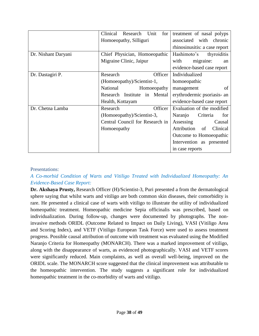|                     | Clinical<br>Research<br>for<br>Unit | treatment of nasal polyps     |
|---------------------|-------------------------------------|-------------------------------|
|                     | Homoeopathy, Silliguri              | associated with<br>chronic    |
|                     |                                     | rhinosinusitis: a case report |
| Dr. Nishant Daryani | Chief Physician, Homoeopathic       | Hashimoto's<br>thyroiditis    |
|                     | Migraine Clinic, Jaipur             | with<br>migraine:<br>an       |
|                     |                                     | evidence-based case report    |
| Dr. Dastagiri P.    | Research<br>Officer                 | Individualized                |
|                     | (Homoeopathy)/Scientist-1,          | homoeopathic                  |
|                     | National<br>Homoeopathy             | of<br>management              |
|                     | Research Institute in Mental        | erythrodermic psoriasis- an   |
|                     | Health, Kottayam                    | evidence-based case report    |
| Dr. Chetna Lamba    | Officer<br>Research                 | Evaluation of the modified    |
|                     | (Homoeopathy)/Scientist-3,          | Naranjo<br>Criteria<br>for    |
|                     | Central Council for Research in     | Assessing<br>Causal           |
|                     | Homoeopathy                         | Attribution<br>of<br>Clinical |
|                     |                                     | Outcome to Homoeopathic       |
|                     |                                     | Intervention as presented     |
|                     |                                     | in case reports               |

#### Presentations:

# *A Co-morbid Condition of Warts and Vitiligo Treated with Individualized Homeopathy: An Evidence-Based Case Report:*

**Dr. Akshaya Prusty,** Research Officer (H)/Scientist-3, Puri presented a from the dermatological sphere saying that whilst warts and vitiligo are both common skin diseases, their comorbidity is rare. He presented a clinical case of warts with vitiligo to illustrate the utility of individualized homeopathic treatment. Homeopathic medicine Sepia officinalis was prescribed, based on individualization. During follow-up, changes were documented by photographs. The noninvasive methods ORIDL (Outcome Related to Impact on Daily Living), VASI (Vitiligo Area and Scoring Index), and VETF (Vitiligo European Task Force) were used to assess treatment progress. Possible causal attribution of outcome with treatment was evaluated using the Modified Naranjo Criteria for Homeopathy (MONARCH). There was a marked improvement of vitiligo, along with the disappearance of warts, as evidenced photographically. VASI and VETF scores were significantly reduced. Main complaints, as well as overall well-being, improved on the ORIDL scale. The MONARCH score suggested that the clinical improvement was attributable to the homeopathic intervention. The study suggests a significant role for individualized homeopathic treatment in the co-morbidity of warts and vitiligo.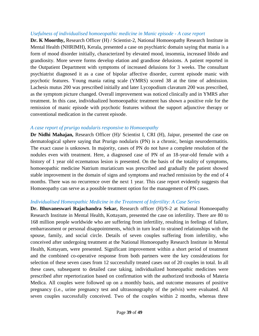#### *Usefulness of individualised homoeopathic medicine in Manic episode - A case report*

**Dr. K Moorthy, Research Officer (H) / Scientist-2, National Homoeopathy Research Institute in** Mental Health (NHRIMH), Kerala, presented a case on psychiatric domain saying that mania is a form of mood disorder initially, characterized by elevated mood, insomnia, increased libido and grandiosity. More severe forms develop elation and grandiose delusions. A patient reported in the Outpatient Department with symptoms of increased delusions for 3 weeks. The consultant psychiatrist diagnosed it as a case of bipolar affective disorder, current episode manic with psychotic features. Young mania rating scale (YMRS) scored 38 at the time of admission. Lachesis mutus 200 was prescribed initially and later Lycopodium clavatum 200 was prescribed, as the symptom picture changed. Overall improvement was noticed clinically and in YMRS after treatment. In this case, individualized homoeopathic treatment has shown a positive role for the remission of manic episode with psychotic features without the support adjunctive therapy or conventional medication in the current episode.

#### *A case report of prurigo nodularis responsive to Homoeopathy*

**Dr Nidhi Mahajan,** Research Officer (H)/ Scientist I, CRI (H), Jaipur, presented the case on dermatological sphere saying that Prurigo nodularis (PN) is a chronic, benign neurodermatitis. The exact cause is unknown. In majority, cases of PN do not have a complete resolution of the nodules even with treatment. Here, a diagnosed case of PN of an 18-year-old female with a history of 1 year old eczematous lesion is presented. On the basis of the totality of symptoms, homoeopathic medicine Natrium muriaticum was prescribed and gradually the patient showed stable improvement in the domain of signs and symptoms and reached remission by the end of 4 months. There was no recurrence over the next 1 year. This case report evidently suggests that Homoeopathy can serve as a possible treatment option for the management of PN cases.

#### *Individualised Homeopathic Medicine in the Treatment of Infertility: A Case Series*

**Dr. Bhuvaneswari Rajachandra Sekar,** Research officer (H)/S-2 at National Homoeopathy Research Institute in Mental Health, Kottayam, presented the case on infertility. There are 80 to 168 million people worldwide who are suffering from infertility, resulting in feelings of failure, embarrassment or personal disappointments, which in turn lead to strained relationships with the spouse, family, and social circle. Details of seven couples suffering from infertility, who conceived after undergoing treatment at the National Homoeopathy Research Institute in Mental Health, Kottayam, were presented. Significant improvement within a short period of treatment and the combined co-operative response from both partners were the key considerations for selection of these seven cases from 12 successfully treated cases out of 20 couples in total. In all these cases, subsequent to detailed case taking, individualized homeopathic medicines were prescribed after repertorization based on confirmation with the authorized textbooks of Materia Medica. All couples were followed up on a monthly basis, and outcome measures of positive pregnancy (i.e., urine pregnancy test and ultrasonography of the pelvis) were evaluated. All seven couples successfully conceived. Two of the couples within 2 months, whereas three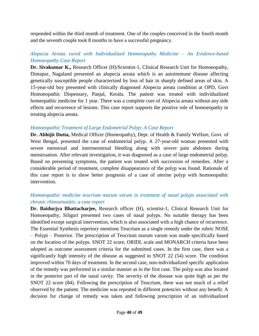responded within the third month of treatment. One of the couples conceived in the fourth month and the seventh couple took 8 months to have a successful pregnancy.

# *Alopecia Areata cured with Individualized Homoeopathy Medicine – An Evidence-based Homoeopathy Case Report*

**Dr. Sivakumar K.,** Research Officer (H)/Scientist-1, Clinical Research Unit for Homoeopathy, Dimapur, Nagaland presented an alopecia areata which is an autoimmune disease affecting genetically susceptible people characterized by loss of hair in sharply defined areas of skin. A 15-year-old boy presented with clinically diagnosed Alopecia areata condition at OPD, Govt Homoeopathic Dispensary, Panjal, Kerala. The patient was treated with individualized homeopathic medicine for 1 year. There was a complete cure of Alopecia areata without any side effects and recurrence of lesions. This case report supports the positive role of homoeopathy in treating alopecia areata.

#### *Homoeopathic Treatment of Large Endometrial Polyp: A Case Report*

**Dr. Abhijit Dutta,** Medical Officer (Homeopathy), Dept. of Health & Family Welfare, Govt. of West Bengal, presented the case of endometrial polyp. A 27-year-old woman presented with severe menstrual and intermenstrual bleeding along with severe pain abdomen during menstruation. After relevant investigation, it was diagnosed as a case of large endometrial polyp. Based on presenting symptoms, the patient was treated with succession of remedies. After a considerable period of treatment, complete disappearance of the polyp was found. Rationale of this case report is to show better prognosis of a case of uterine polyp with homoeopathic intervention.

# *Homoeopathic medicine teucrium marum varum in treatment of nasal polyps associated with chronic rhinosinusitis: a case report*

**Dr. Baidurjya Bhattacharjee,** Research officer (H), scientist-1, Clinical Research Unit for Homoeopathy, Siliguri presented two cases of nasal polyps. No suitable therapy has been identified except surgical intervention, which is also associated with a high chance of recurrence. The Essential Synthesis repertory mentions Teucrium as a single remedy under the rubric NOSE – Polypi – Posterior. The prescription of Teucrium marum varum was made specifically based on the location of the polyps. SNOT 22 score, ORIDL scale and MONARCH criteria have been adopted as outcome assessment criteria for the submitted cases. In the first case, there was a significantly high intensity of the disease as suggested in SNOT 22 (54) score. The condition improved within 70 days of treatment. In the second case, non-individualized specific application of the remedy was performed in a similar manner as in the first case. The polyp was also located in the posterior part of the nasal cavity. The severity of the disease was quite high as per the SNOT 22 score (84). Following the prescription of Teucrium, there was not much of a relief observed by the patient. The medicine was repeated in different potencies without any benefit. A decision for change of remedy was taken and following prescription of an individualized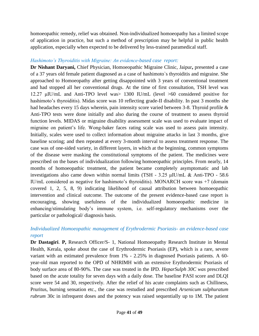homoeopathic remedy, relief was obtained. Non-individualized homoeopathy has a limited scope of application in practice, but such a method of prescription may be helpful in public health application, especially when expected to be delivered by less-trained paramedical staff.

#### *Hashimoto's Thyroiditis with Migraine: An evidence-based case report:*

**Dr Nishant Daryani,** Chief Physician, Homoeopathic Migraine Clinic, Jaipur**,** presented a case of a 37 years old female patient diagnosed as a case of hashimoto`s thyroiditis and migraine. She approached to Homoeopathy after getting disappointed with 3 years of conventional treatment and had stopped all her conventional drugs. At the time of first consultation, TSH level was 12.27 μIU/mL and Anti-TPO level was> 1300 IU/mL (level >60 considered positive for hashimoto's thyroiditis). Midas score was 10 reflecting grade-II disability. In past 3 months she had headaches every 15 days wherein, pain intensity score varied between 3-8. Thyroid profile & Anti-TPO tests were done initially and also during the course of treatment to assess thyroid function levels. MIDAS or migraine disability assessment scale was used to evaluate impact of migraine on patient's life. Wong-baker faces rating scale was used to assess pain intensity. Initially, scales were used to collect information about migraine attacks in last 3 months, give baseline scoring; and then repeated at every 3-month interval to assess treatment response. The case was of one-sided variety, in different layers, in which at the beginning, common symptoms of the disease were masking the constitutional symptoms of the patient. The medicines were prescribed on the bases of individualization following homoeopathic principles. From nearly, 14 months of homoeopathic treatment, the patient became completely asymptomatic and lab investigations also came down within normal limits (TSH - 3.25 μIU/mL & Anti-TPO - 58.6 IU/mL considered as negative for hashimoto's thyroiditis). MONARCH score was +7 (domain covered 1, 2, 5, 8, 9) indicating likelihood of causal attribution between homoeopathic intervention and clinical outcome. The outcome of the present evidence-based case report is encouraging, showing usefulness of the individualized homoeopathic medicine in enhancing/stimulating body's immune system, i.e. self-regulatory mechanisms over the particular or pathological/ diagnosis basis.

# *Individualized Homoeopathic management of Erythrodermic Psoriasis- an evidence-based case report*

**Dr Dastagiri**. **P,** Research Officer/S- 1, National Homoeopathy Research Institute in Mental Health, Kerala, spoke about the case of Erythrodermic Psoriasis (EP), which is a rare, severe variant with an estimated prevalence from 1% - 2.25% in diagnosed Psoriasis patients. A 60 year-old man reported to the OPD of NHRIMH with an extensive Erythrodermic Psoriasis of body surface area of 80-90%. The case was treated in the IPD. *HeparSulph 30C was* prescribed based on the acute totality for seven days with a daily dose*.* The baseline PASI score and DLQI score were 54 and 30, respectively. After the relief of his acute complaints such as Chilliness, Pruritus, burning sensation etc., the case was restudied and prescribed *Arsenicum sulphuratum rubrum* 30c in infrequent doses and the potency was raised sequentially up to 1M. The patient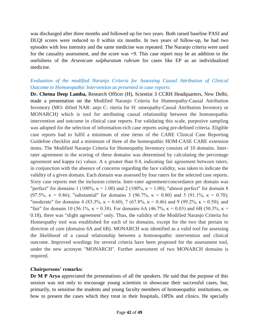was discharged after three months and followed up for two years. Both raised baseline PASI and DLQI scores were reduced to 0 within six months. In two years of follow-up, he had two episodes with less intensity and the same medicine was repeated. The Naranjo criteria were used for the causality assessment, and the score was +9. This case report may be an addition to the usefulness of the *Arsenicum sulphuratum rubrum* for cases like EP as an individualized medicine.

# *Evaluation of the modified Naranjo Criteria for Assessing Causal Attribution of Clinical Outcome to Homoeopathic Intervention as presented in case reports:*

**Dr. Chetna Deep Lamba,** Research Officer (H), Scientist 3 CCRH Headquarters, New Delhi, made a presentation on the Modified Naranjo Criteria for Homeopathy-Causal Attribution Inventory (MO: dified NAR: anjo C: riteria for H: omeopathy-Causal Attribution Inventory or MONARCH) which is tool for attributing causal relationship between the homoeopathic intervention and outcome in clinical case reports. For validating this scale, purposive sampling was adopted for the selection of information-rich case reports using pre-defined criteria. Eligible case reports had to fulfil a minimum of nine items of the CARE Clinical Case Reporting Guideline checklist and a minimum of three of the homeopathic HOM-CASE CARE extension items. The Modified Naranjo Criteria for Homeopathy Inventory consists of 10 domains. Interrater agreement in the scoring of these domains was determined by calculating the percentage agreement and kappa (κ) values. A κ greater than 0.4, indicating fair agreement between raters, in conjunction with the absence of concerns regarding the face validity, was taken to indicate the validity of a given domain. Each domain was assessed by four raters for the selected case reports. Sixty case reports met the inclusion criteria. Inter-rater agreement/concordance per domain was "perfect" for domains 1 (100%,  $\kappa = 1.00$ ) and 2 (100%,  $\kappa = 1.00$ ); "almost perfect" for domain 8 (97.5%,  $\kappa = 0.86$ ); "substantial" for domains 3 (96.7%,  $\kappa = 0.80$ ) and 5 (91.1%,  $\kappa = 0.70$ ); "moderate" for domains 4 (83.3%,  $\kappa = 0.60$ ), 7 (67.8%,  $\kappa = 0.46$ ) and 9 (99.2%,  $\kappa = 0.50$ ); and "fair" for domain 10 (56.1%,  $\kappa = 0.38$ ). For domains 6A (46.7%,  $\kappa = 0.03$ ) and 6B (50.3%,  $\kappa =$ 0.18), there was "slight agreement" only. Thus, the validity of the Modified Naranjo Criteria for Homeopathy tool was established for each of its domains, except for the two that pertain to direction of cure (domains 6A and 6B). MONARCH was identified as a valid tool for assessing the likelihood of a causal relationship between a homoeopathic intervention and clinical outcome. Improved wordings for several criteria have been proposed for the assessment tool, under the new acronym "MONARCH". Further assessment of two MONARCH domains is required.

#### **Chairpersons' remarks:**

**Dr M P Arya** appreciated the presentations of all the speakers. He said that the purpose of this session was not only to encourage young scientists to showcase their successful cases, but, primarily, to sensitise the students and young faculty members of homoeopathic institutions, on how to present the cases which they treat in their hospitals, OPDs and clinics. He specially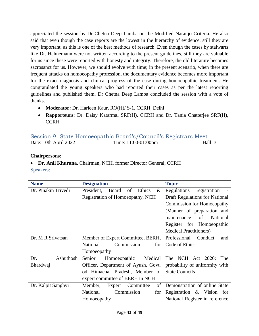appreciated the session by Dr Chetna Deep Lamba on the Modified Naranjo Criteria. He also said that even though the case reports are the lowest in the hierarchy of evidence, still they are very important, as this is one of the best methods of research. Even though the cases by stalwarts like Dr. Hahnemann were not written according to the present guidelines, still they are valuable for us since these were reported with honesty and integrity. Therefore, the old literature becomes sacrosanct for us. However, we should evolve with time; in the present scenario, when there are frequent attacks on homoeopathy profession, the documentary evidence becomes more important for the exact diagnosis and clinical progress of the case during homoeopathic treatment. He congratulated the young speakers who had reported their cases as per the latest reporting guidelines and published them. Dr Chetna Deep Lamba concluded the session with a vote of thanks.

- **Moderator:** Dr. Harleen Kaur, RO(H)/ S-1, CCRH, Delhi
- **Rapporteurs:** Dr. Daisy Katarmal SRF(H), CCRH and Dr. Tania Chatterjee SRF(H), **CCRH**

<span id="page-43-0"></span>

|                       | Session 9: State Homoeopathic Board's/Council's Registrars Meet |         |
|-----------------------|-----------------------------------------------------------------|---------|
| Date: 10th April 2022 | Time: $11:00-01:00$ pm                                          | Hall: 3 |

# **Chairpersons**:

 **Dr. Anil Khurana**, Chairman, NCH, former Director General, CCRH Speakers:

| <b>Name</b>         | <b>Designation</b>                       | <b>Topic</b>                         |
|---------------------|------------------------------------------|--------------------------------------|
| Dr. Pinakin Trivedi | President,<br>of<br>Ethics<br>Board<br>& | Regulations<br>registration          |
|                     | Registration of Homoeopathy, NCH         | Draft Regulations for National       |
|                     |                                          | <b>Commission for Homoeopathy</b>    |
|                     |                                          | (Manner of preparation and           |
|                     |                                          | <b>National</b><br>maintenance<br>of |
|                     |                                          | Register for Homoeopathic            |
|                     |                                          | <b>Medical Practitioners</b> )       |
| Dr. M R Srivatsan   | Member of Expert Committee, BERH,        | Professional Conduct<br>and          |
|                     | National<br>Commission<br>for            | Code of Ethics                       |
|                     | Homoeopathy                              |                                      |
| Ashuthosh<br>Dr.    | Senior<br>Homoeopathic<br>Medical        | The NCH Act 2020:<br>The             |
| Bhardwaj            | Officer, Department of Ayush, Govt.      | probability of uniformity with       |
|                     | od Himachal Pradesh, Member of           | <b>State Councils</b>                |
|                     | expert committee of BERH in NCH          |                                      |
| Dr. Kalpit Sanghvi  | Committee<br>of<br>Member,<br>Expert     | Demonstration of online State        |
|                     | Commission<br>National<br>for            | Registration & Vision<br>for         |
|                     | Homoeopathy                              | National Register in reference       |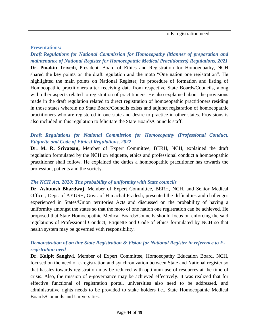|--|

#### **Presentations:**

# *Draft Regulations for National Commission for Homoeopathy (Manner of preparation and maintenance of National Register for Homoeopathic Medical Practitioners) Regulations, 2021* **Dr. Pinakin Trivedi**, President, Board of Ethics and Registration for Homoeopathy, NCH shared the key points on the draft regulation and the moto "One nation one registration". He highlighted the main points on National Register, its procedure of formation and listing of Homoeopathic practitioners after receiving data from respective State Boards/Councils, along with other aspects related to registration of practitioners. He also explained about the provisions made in the draft regulation related to direct registration of homoeopathic practitioners residing in those states wherein no State Board/Councils exists and adjunct registration of homoeopathic practitioners who are registered in one state and desire to practice in other states. Provisions is also included in this regulation to felicitate the State Boards/Councils staff.

# *Draft Regulations for National Commission for Homoeopathy (Professional Conduct, Etiquette and Code of Ethics) Regulations, 2022*

**Dr. M. R. Srivatsan,** Member of Expert Committee, BERH, NCH, explained the draft regulation formulated by the NCH on etiquette, ethics and professional conduct a homoeopathic practitioner shall follow. He explained the duties a homoeopathic practitioner has towards the profession, patients and the society.

#### *The NCH Act, 2020: The probability of uniformity with State councils*

**Dr. Ashutosh Bhardwaj**, Member of Expert Committee, BERH, NCH, and Senior Medical Officer, Dept. of AYUSH, Govt. of Himachal Pradesh, presented the difficulties and challenges experienced in States/Union territories Acts and discussed on the probability of having a uniformity amongst the states so that the moto of one nation one registration can be achieved. He proposed that State Homoeopathic Medical Boards/Councils should focus on enforcing the said regulations of Professional Conduct, Etiquette and Code of ethics formulated by NCH so that health system may be governed with responsibility.

# *Demonstration of on line State Registration & Vision for National Register in reference to Eregistration need*

**Dr. Kalpit Sanghvi**, Member of Expert Committee, Homoeopathy Education Board, NCH, focused on the need of e-registration and synchronization between State and National register so that hassles towards registration may be reduced with optimum use of resources at the time of crisis. Also, the mission of e-governance may be achieved effectively. It was realized that for effective functional of registration portal, universities also need to be addressed, and administrative rights needs to be provided to stake holders i.e., State Homoeopathic Medical Boards/Councils and Universities.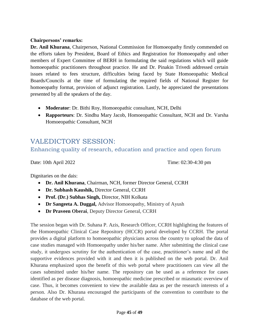### **Chairpersons' remarks:**

**Dr. Anil Khurana**, Chairperson, National Commission for Homoeopathy firstly commended on the efforts taken by President, Board of Ethics and Registration for Homoeopathy and other members of Expert Committee of BERH in formulating the said regulations which will guide homoeopathic practitioners throughout practice. He and Dr. Pinakin Trivedi addressed certain issues related to fees structure, difficulties being faced by State Homoeopathic Medical Boards/Councils at the time of formulating the required fields of National Register for homoeopathy format, provision of adjunct registration. Lastly, he appreciated the presentations presented by all the speakers of the day.

- **Moderator**: Dr. Bithi Roy, Homoeopathic consultant, NCH, Delhi
- **Rapporteurs**: Dr. Sindhu Mary Jacob, Homoeopathic Consultant, NCH and Dr. Varsha Homoeopathic Consultant, NCH

# <span id="page-45-0"></span>VALEDICTORY SESSION:

<span id="page-45-1"></span>Enhancing quality of research, education and practice and open forum

Date: 10th April 2022 Time: 02:30-4:30 pm

Dignitaries on the dais:

- **Dr. Anil Khurana**, Chairman, NCH, former Director General, CCRH
- **Dr. Subhash Kaushik,** Director General, CCRH
- **Prof. (Dr.) Subhas Singh,** Director, NIH Kolkata
- **Dr Sangeeta A. Duggal,** Advisor Homoeopathy, Ministry of Ayush
- **Dr Praveen Oberai**, Deputy Director General, CCRH

The session began with Dr. Suhana P. Azis, Research Officer, CCRH highlighting the features of the Homoeopathic Clinical Case Repository (HCCR) portal developed by CCRH. The portal provides a digital platform to homoeopathic physicians across the country to upload the data of case studies managed with Homoeopathy under his/her name. After submitting the clinical case study, it undergoes scrutiny for the authentication of the case, practitioner's name and all the supportive evidences provided with it and then it is published on the web portal. Dr. Anil Khurana emphasized upon the benefit of this web portal where practitioners can view all the cases submitted under his/her name. The repository can be used as a reference for cases identified as per disease diagnosis, homoeopathic medicine prescribed or miasmatic overview of case. Thus, it becomes convenient to view the available data as per the research interests of a person. Also Dr. Khurana encouraged the participants of the convention to contribute to the database of the web portal.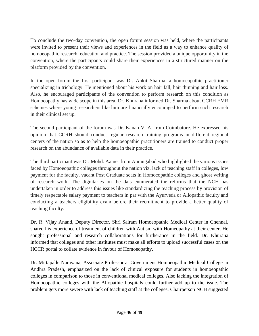To conclude the two-day convention, the open forum session was held, where the participants were invited to present their views and experiences in the field as a way to enhance quality of homoeopathic research, education and practice. The session provided a unique opportunity in the convention, where the participants could share their experiences in a structured manner on the platform provided by the convention.

In the open forum the first participant was Dr. Ankit Sharma, a homoeopathic practitioner specializing in trichology. He mentioned about his work on hair fall, hair thinning and hair loss. Also, he encouraged participants of the convention to perform research on this condition as Homoeopathy has wide scope in this area. Dr. Khurana informed Dr. Sharma about CCRH EMR schemes where young researchers like him are financially encouraged to perform such research in their clinical set up.

The second participant of the forum was Dr. Kanan V. A. from Coimbatore. He expressed his opinion that CCRH should conduct regular research training programs in different regional centers of the nation so as to help the homoeopathic practitioners are trained to conduct proper research on the abundance of available data in their practice.

The third participant was Dr. Mohd. Aamer from Aurangabad who highlighted the various issues faced by Homoeopathic colleges throughout the nation viz. lack of teaching staff in colleges, low payment for the faculty, vacant Post Graduate seats in Homoeopathic colleges and ghost writing of research work. The dignitaries on the dais enumerated the reforms that the NCH has undertaken in order to address this issues like standardizing the teaching process by provision of timely respectable salary payment to teachers in par with the Ayurveda or Allopathic faculty and conducting a teachers eligibility exam before their recruitment to provide a better quality of teaching faculty.

Dr. R. Vijay Anand, Deputy Director, Shri Sairam Homoeopathic Medical Center in Chennai, shared his experience of treatment of children with Autism with Homeopathy at their center. He sought professional and research collaborations for furtherance in the field. Dr. Khurana informed that colleges and other institutes must make all efforts to upload successful cases on the HCCR portal to collate evidence in favour of Homoeopathy.

Dr. Mittapalle Narayana, Associate Professor at Government Homoeopathic Medical College in Andhra Pradesh, emphasized on the lack of clinical exposure for students in homoeopathic colleges in comparison to those in conventional medical colleges. Also lacking the integration of Homoeopathic colleges with the Allopathic hospitals could further add up to the issue. The problem gets more severe with lack of teaching staff at the colleges. Chairperson NCH suggested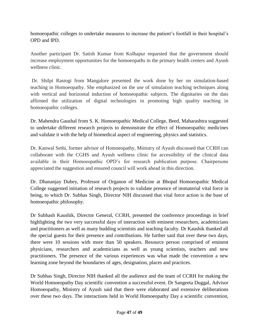homoeopathic colleges to undertake measures to increase the patient's footfall in their hospital's OPD and IPD.

Another participant Dr. Satish Kumar from Kolhapur requested that the government should increase employment opportunities for the homoeopaths in the primary health centers and Ayush wellness clinic.

Dr. Shilpi Rastogi from Mangalore presented the work done by her on simulation-based teaching in Homoeopathy. She emphasized on the use of simulation teaching techniques along with vertical and horizontal induction of homoeopathic subjects. The dignitaries on the dais affirmed the utilization of digital technologies in promoting high quality teaching in homoeopathic colleges.

Dr. Mahendra Gaushal from S. K. Homoeopathic Medical College, Beed, Maharashtra suggested to undertake different research projects to demonstrate the effect of Homoeopathic medicines and validate it with the help of biomedical aspect of engineering, physics and statistics.

Dr. Kanwal Sethi, former advisor of Homoeopathy, Ministry of Ayush discussed that CCRH can collaborate with the CGHS and Ayush wellness clinic for accessibility of the clinical data available in their Homoeopathic OPD's for research publication purpose. Chairpersons appreciated the suggestion and ensured council will work ahead in this direction.

Dr. Dhananjay Dubey, Professor of Organon of Medicine at Bhopal Homoeopathic Medical College suggested initiation of research projects to validate presence of immaterial vital force in being, to which Dr. Subhas Singh, Director NIH discussed that vital force action is the base of homoeopathic philosophy.

Dr Subhash Kaushik, Director General, CCRH, presented the conference proceedings in brief highlighting the two very successful days of interaction with eminent researchers, academicians and practitioners as well as many budding scientists and teaching faculty. Dr Kaushik thanked all the special guests for their presence and contributions. He further said that over these two days, there were 10 sessions with more than 50 speakers. Resource person comprised of eminent physicians, researchers and academicians as well as young scientists, teachers and new practitioners. The presence of the various experiences was what made the convention a new learning zone beyond the boundaries of ages, designation, places and practices.

Dr Subhas Singh, Director NIH thanked all the audience and the team of CCRH for making the World Homoeopathy Day scientific convention a successful event. Dr Sangeeta Duggal, Advisor Homoeopathy, Ministry of Ayush said that there were elaborated and extensive deliberations over these two days. The interactions held in World Homoeopathy Day a scientific convention,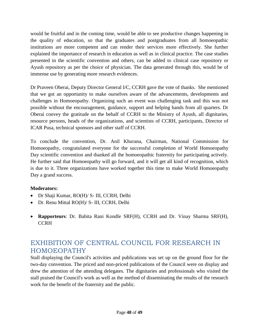would be fruitful and in the coming time, would be able to see productive changes happening in the quality of education, so that the graduates and postgraduates from all homoeopathic institutions are more competent and can render their services more effectively. She further explained the importance of research in education as well as in clinical practice. The case studies presented in the scientific convention and others, can be added to clinical case repository or Ayush repository as per the choice of physician. The data generated through this, would be of immense use by generating more research evidences.

Dr Praveen Oberai, Deputy Director General I/C, CCRH gave the vote of thanks.She mentioned that we got an opportunity to make ourselves aware of the advancements, developments and challenges in Homoeopathy. Organizing such an event was challenging task and this was not possible without the encouragement, guidance, support and helping hands from all quarters. Dr Oberai convey the gratitude on the behalf of CCRH to the Ministry of Ayush, all dignitaries, resource persons, heads of the organizations, and scientists of CCRH, participants, Director of ICAR Pusa, technical sponsors and other staff of CCRH.

To conclude the convention, Dr. Anil Khurana, Chairman, National Commission for Homoeopathy, congratulated everyone for the successful completion of World Homoeopathy Day scientific convention and thanked all the homoeopathic fraternity for participating actively. He further said that Homoeopathy will go forward, and it will get all kind of recognition, which is due to it. Three organizations have worked together this time to make World Homoeopathy Day a grand success.

# **Moderators:**

- Dr Shaji Kumar, RO(H)/ S- III, CCRH, Delhi
- Dr. Renu Mittal RO(H)/ S- III, CCRH, Delhi
- **Rapporteurs**: Dr. Babita Rani Kondle SRF(H), CCRH and Dr. Vinay Sharma SRF(H), **CCRH**

# <span id="page-48-0"></span>EXHIBITION OF CENTRAL COUNCIL FOR RESEARCH IN HOMOEOPATHY

Stall displaying the Council's activities and publications was set up on the ground floor for the two-day convention. The priced and non-priced publications of the Council were on display and drew the attention of the attending delegates. The dignitaries and professionals who visited the stall praised the Council's work as well as the method of disseminating the results of the research work for the benefit of the fraternity and the public.